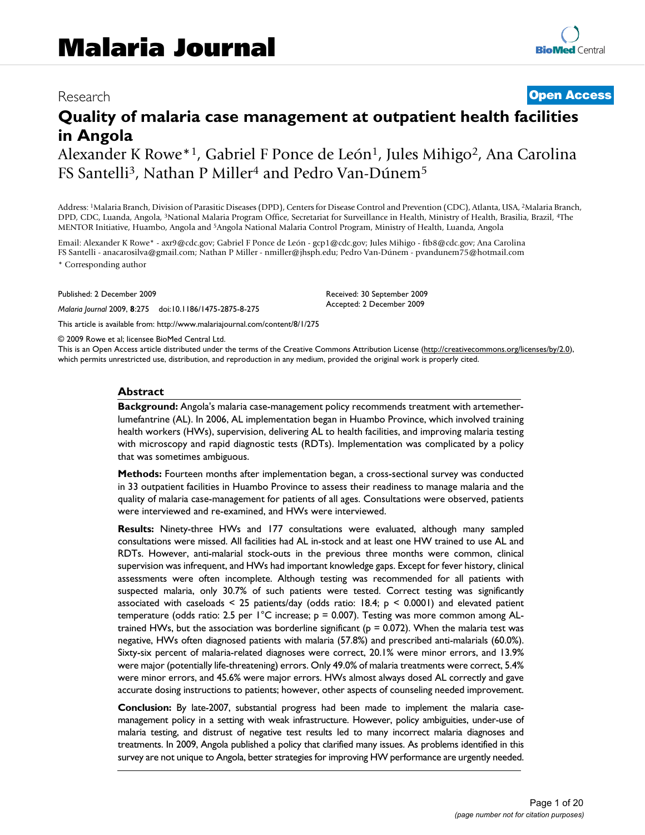# Research **[Open Access](http://www.biomedcentral.com/info/about/charter/)**

# **Quality of malaria case management at outpatient health facilities in Angola**

Alexander K Rowe\*<sup>1</sup>, Gabriel F Ponce de León<sup>1</sup>, Jules Mihigo<sup>2</sup>, Ana Carolina FS Santelli<sup>3</sup>, Nathan P Miller<sup>4</sup> and Pedro Van-Dúnem<sup>5</sup>

Address: 1Malaria Branch, Division of Parasitic Diseases (DPD), Centers for Disease Control and Prevention (CDC), Atlanta, USA, 2Malaria Branch, DPD, CDC, Luanda, Angola, 3National Malaria Program Office, Secretariat for Surveillance in Health, Ministry of Health, Brasilia, Brazil, 4The MENTOR Initiative, Huambo, Angola and 5Angola National Malaria Control Program, Ministry of Health, Luanda, Angola

Email: Alexander K Rowe\* - axr9@cdc.gov; Gabriel F Ponce de León - gcp1@cdc.gov; Jules Mihigo - ftb8@cdc.gov; Ana Carolina FS Santelli - anacarosilva@gmail.com; Nathan P Miller - nmiller@jhsph.edu; Pedro Van-Dúnem - pvandunem75@hotmail.com \* Corresponding author

Published: 2 December 2009

*Malaria Journal* 2009, **8**:275 doi:10.1186/1475-2875-8-275

[This article is available from: http://www.malariajournal.com/content/8/1/275](http://www.malariajournal.com/content/8/1/275)

© 2009 Rowe et al; licensee BioMed Central Ltd.

This is an Open Access article distributed under the terms of the Creative Commons Attribution License [\(http://creativecommons.org/licenses/by/2.0\)](http://creativecommons.org/licenses/by/2.0), which permits unrestricted use, distribution, and reproduction in any medium, provided the original work is properly cited.

Received: 30 September 2009 Accepted: 2 December 2009

#### **Abstract**

**Background:** Angola's malaria case-management policy recommends treatment with artemetherlumefantrine (AL). In 2006, AL implementation began in Huambo Province, which involved training health workers (HWs), supervision, delivering AL to health facilities, and improving malaria testing with microscopy and rapid diagnostic tests (RDTs). Implementation was complicated by a policy that was sometimes ambiguous.

**Methods:** Fourteen months after implementation began, a cross-sectional survey was conducted in 33 outpatient facilities in Huambo Province to assess their readiness to manage malaria and the quality of malaria case-management for patients of all ages. Consultations were observed, patients were interviewed and re-examined, and HWs were interviewed.

**Results:** Ninety-three HWs and 177 consultations were evaluated, although many sampled consultations were missed. All facilities had AL in-stock and at least one HW trained to use AL and RDTs. However, anti-malarial stock-outs in the previous three months were common, clinical supervision was infrequent, and HWs had important knowledge gaps. Except for fever history, clinical assessments were often incomplete. Although testing was recommended for all patients with suspected malaria, only 30.7% of such patients were tested. Correct testing was significantly associated with caseloads  $\leq$  25 patients/day (odds ratio: 18.4;  $p \leq 0.0001$ ) and elevated patient temperature (odds ratio: 2.5 per  $1^{\circ}$ C increase; p = 0.007). Testing was more common among ALtrained HWs, but the association was borderline significant ( $p = 0.072$ ). When the malaria test was negative, HWs often diagnosed patients with malaria (57.8%) and prescribed anti-malarials (60.0%). Sixty-six percent of malaria-related diagnoses were correct, 20.1% were minor errors, and 13.9% were major (potentially life-threatening) errors. Only 49.0% of malaria treatments were correct, 5.4% were minor errors, and 45.6% were major errors. HWs almost always dosed AL correctly and gave accurate dosing instructions to patients; however, other aspects of counseling needed improvement.

**Conclusion:** By late-2007, substantial progress had been made to implement the malaria casemanagement policy in a setting with weak infrastructure. However, policy ambiguities, under-use of malaria testing, and distrust of negative test results led to many incorrect malaria diagnoses and treatments. In 2009, Angola published a policy that clarified many issues. As problems identified in this survey are not unique to Angola, better strategies for improving HW performance are urgently needed.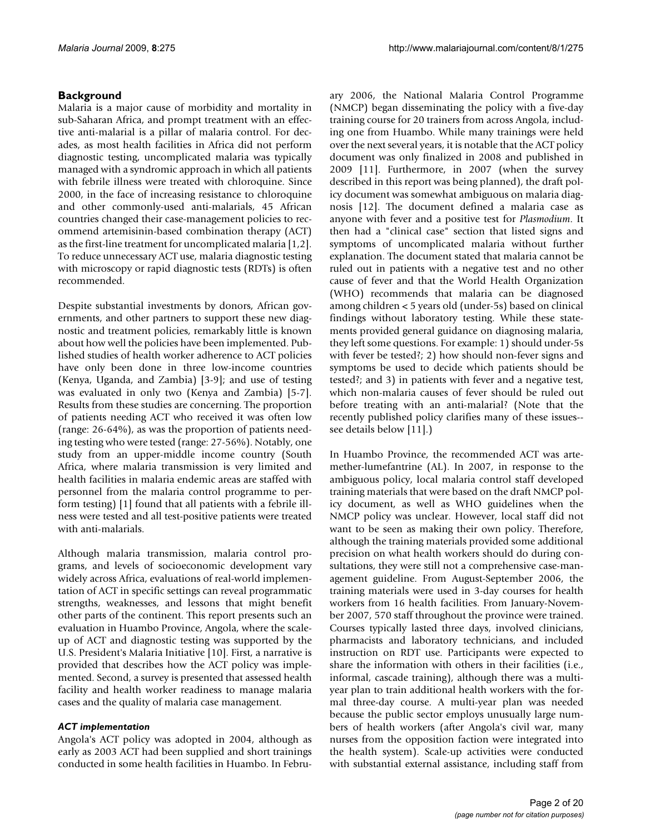### **Background**

Malaria is a major cause of morbidity and mortality in sub-Saharan Africa, and prompt treatment with an effective anti-malarial is a pillar of malaria control. For decades, as most health facilities in Africa did not perform diagnostic testing, uncomplicated malaria was typically managed with a syndromic approach in which all patients with febrile illness were treated with chloroquine. Since 2000, in the face of increasing resistance to chloroquine and other commonly-used anti-malarials, 45 African countries changed their case-management policies to recommend artemisinin-based combination therapy (ACT) as the first-line treatment for uncomplicated malaria [1,2]. To reduce unnecessary ACT use, malaria diagnostic testing with microscopy or rapid diagnostic tests (RDTs) is often recommended.

Despite substantial investments by donors, African governments, and other partners to support these new diagnostic and treatment policies, remarkably little is known about how well the policies have been implemented. Published studies of health worker adherence to ACT policies have only been done in three low-income countries (Kenya, Uganda, and Zambia) [3-9]; and use of testing was evaluated in only two (Kenya and Zambia) [5-7]. Results from these studies are concerning. The proportion of patients needing ACT who received it was often low (range: 26-64%), as was the proportion of patients needing testing who were tested (range: 27-56%). Notably, one study from an upper-middle income country (South Africa, where malaria transmission is very limited and health facilities in malaria endemic areas are staffed with personnel from the malaria control programme to perform testing) [1] found that all patients with a febrile illness were tested and all test-positive patients were treated with anti-malarials.

Although malaria transmission, malaria control programs, and levels of socioeconomic development vary widely across Africa, evaluations of real-world implementation of ACT in specific settings can reveal programmatic strengths, weaknesses, and lessons that might benefit other parts of the continent. This report presents such an evaluation in Huambo Province, Angola, where the scaleup of ACT and diagnostic testing was supported by the U.S. President's Malaria Initiative [10]. First, a narrative is provided that describes how the ACT policy was implemented. Second, a survey is presented that assessed health facility and health worker readiness to manage malaria cases and the quality of malaria case management.

#### *ACT implementation*

Angola's ACT policy was adopted in 2004, although as early as 2003 ACT had been supplied and short trainings conducted in some health facilities in Huambo. In February 2006, the National Malaria Control Programme (NMCP) began disseminating the policy with a five-day training course for 20 trainers from across Angola, including one from Huambo. While many trainings were held over the next several years, it is notable that the ACT policy document was only finalized in 2008 and published in 2009 [11]. Furthermore, in 2007 (when the survey described in this report was being planned), the draft policy document was somewhat ambiguous on malaria diagnosis [12]. The document defined a malaria case as anyone with fever and a positive test for *Plasmodium*. It then had a "clinical case" section that listed signs and symptoms of uncomplicated malaria without further explanation. The document stated that malaria cannot be ruled out in patients with a negative test and no other cause of fever and that the World Health Organization (WHO) recommends that malaria can be diagnosed among children < 5 years old (under-5s) based on clinical findings without laboratory testing. While these statements provided general guidance on diagnosing malaria, they left some questions. For example: 1) should under-5s with fever be tested?; 2) how should non-fever signs and symptoms be used to decide which patients should be tested?; and 3) in patients with fever and a negative test, which non-malaria causes of fever should be ruled out before treating with an anti-malarial? (Note that the recently published policy clarifies many of these issues- see details below [11].)

In Huambo Province, the recommended ACT was artemether-lumefantrine (AL). In 2007, in response to the ambiguous policy, local malaria control staff developed training materials that were based on the draft NMCP policy document, as well as WHO guidelines when the NMCP policy was unclear. However, local staff did not want to be seen as making their own policy. Therefore, although the training materials provided some additional precision on what health workers should do during consultations, they were still not a comprehensive case-management guideline. From August-September 2006, the training materials were used in 3-day courses for health workers from 16 health facilities. From January-November 2007, 570 staff throughout the province were trained. Courses typically lasted three days, involved clinicians, pharmacists and laboratory technicians, and included instruction on RDT use. Participants were expected to share the information with others in their facilities (i.e., informal, cascade training), although there was a multiyear plan to train additional health workers with the formal three-day course. A multi-year plan was needed because the public sector employs unusually large numbers of health workers (after Angola's civil war, many nurses from the opposition faction were integrated into the health system). Scale-up activities were conducted with substantial external assistance, including staff from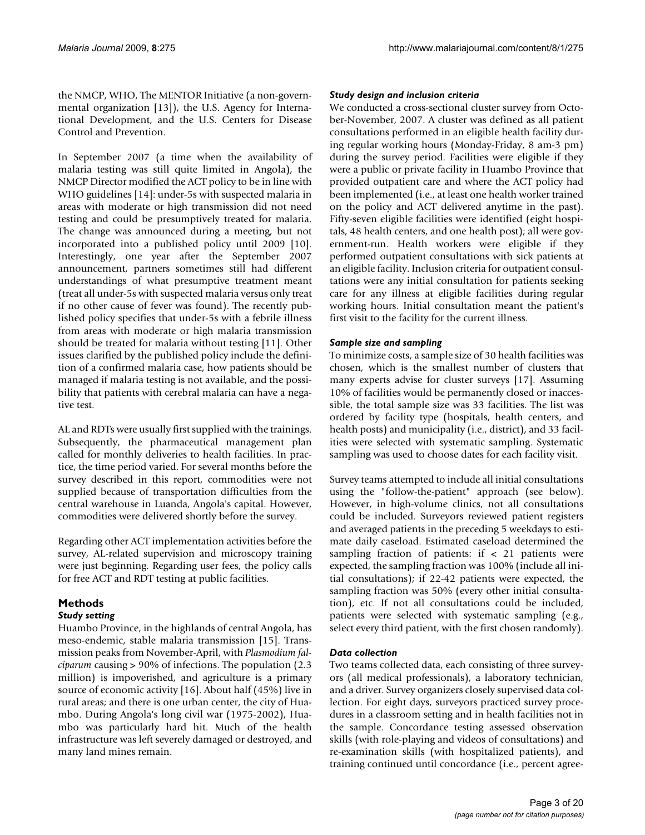the NMCP, WHO, The MENTOR Initiative (a non-governmental organization [13]), the U.S. Agency for International Development, and the U.S. Centers for Disease Control and Prevention.

In September 2007 (a time when the availability of malaria testing was still quite limited in Angola), the NMCP Director modified the ACT policy to be in line with WHO guidelines [14]: under-5s with suspected malaria in areas with moderate or high transmission did not need testing and could be presumptively treated for malaria. The change was announced during a meeting, but not incorporated into a published policy until 2009 [10]. Interestingly, one year after the September 2007 announcement, partners sometimes still had different understandings of what presumptive treatment meant (treat all under-5s with suspected malaria versus only treat if no other cause of fever was found). The recently published policy specifies that under-5s with a febrile illness from areas with moderate or high malaria transmission should be treated for malaria without testing [11]. Other issues clarified by the published policy include the definition of a confirmed malaria case, how patients should be managed if malaria testing is not available, and the possibility that patients with cerebral malaria can have a negative test.

AL and RDTs were usually first supplied with the trainings. Subsequently, the pharmaceutical management plan called for monthly deliveries to health facilities. In practice, the time period varied. For several months before the survey described in this report, commodities were not supplied because of transportation difficulties from the central warehouse in Luanda, Angola's capital. However, commodities were delivered shortly before the survey.

Regarding other ACT implementation activities before the survey, AL-related supervision and microscopy training were just beginning. Regarding user fees, the policy calls for free ACT and RDT testing at public facilities.

# **Methods**

#### *Study setting*

Huambo Province, in the highlands of central Angola, has meso-endemic, stable malaria transmission [15]. Transmission peaks from November-April, with *Plasmodium falciparum* causing > 90% of infections. The population (2.3 million) is impoverished, and agriculture is a primary source of economic activity [16]. About half (45%) live in rural areas; and there is one urban center, the city of Huambo. During Angola's long civil war (1975-2002), Huambo was particularly hard hit. Much of the health infrastructure was left severely damaged or destroyed, and many land mines remain.

#### *Study design and inclusion criteria*

We conducted a cross-sectional cluster survey from October-November, 2007. A cluster was defined as all patient consultations performed in an eligible health facility during regular working hours (Monday-Friday, 8 am-3 pm) during the survey period. Facilities were eligible if they were a public or private facility in Huambo Province that provided outpatient care and where the ACT policy had been implemented (i.e., at least one health worker trained on the policy and ACT delivered anytime in the past). Fifty-seven eligible facilities were identified (eight hospitals, 48 health centers, and one health post); all were government-run. Health workers were eligible if they performed outpatient consultations with sick patients at an eligible facility. Inclusion criteria for outpatient consultations were any initial consultation for patients seeking care for any illness at eligible facilities during regular working hours. Initial consultation meant the patient's first visit to the facility for the current illness.

#### *Sample size and sampling*

To minimize costs, a sample size of 30 health facilities was chosen, which is the smallest number of clusters that many experts advise for cluster surveys [17]. Assuming 10% of facilities would be permanently closed or inaccessible, the total sample size was 33 facilities. The list was ordered by facility type (hospitals, health centers, and health posts) and municipality (i.e., district), and 33 facilities were selected with systematic sampling. Systematic sampling was used to choose dates for each facility visit.

Survey teams attempted to include all initial consultations using the "follow-the-patient" approach (see below). However, in high-volume clinics, not all consultations could be included. Surveyors reviewed patient registers and averaged patients in the preceding 5 weekdays to estimate daily caseload. Estimated caseload determined the sampling fraction of patients: if  $\langle 21 \rangle$  patients were expected, the sampling fraction was 100% (include all initial consultations); if 22-42 patients were expected, the sampling fraction was 50% (every other initial consultation), etc. If not all consultations could be included, patients were selected with systematic sampling (e.g., select every third patient, with the first chosen randomly).

### *Data collection*

Two teams collected data, each consisting of three surveyors (all medical professionals), a laboratory technician, and a driver. Survey organizers closely supervised data collection. For eight days, surveyors practiced survey procedures in a classroom setting and in health facilities not in the sample. Concordance testing assessed observation skills (with role-playing and videos of consultations) and re-examination skills (with hospitalized patients), and training continued until concordance (i.e., percent agree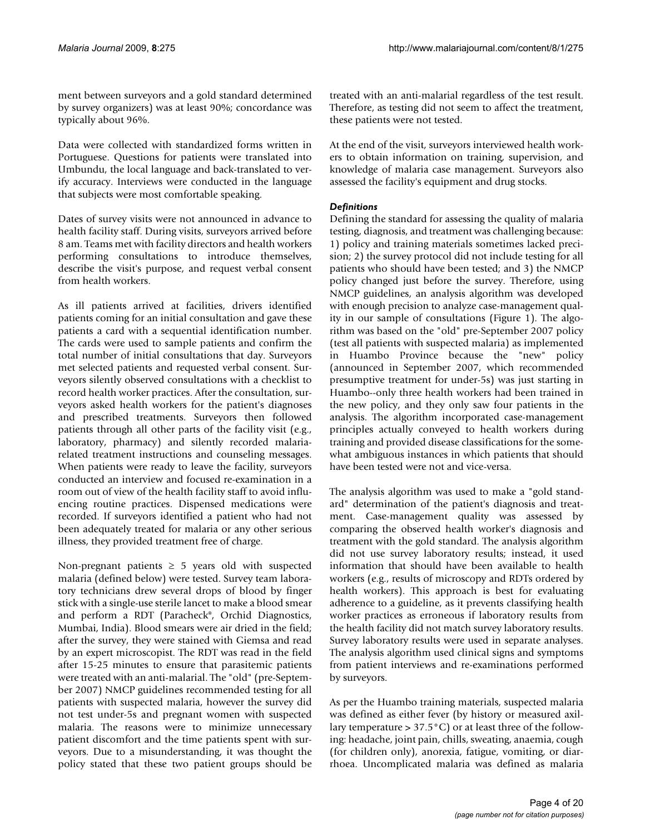ment between surveyors and a gold standard determined by survey organizers) was at least 90%; concordance was typically about 96%.

Data were collected with standardized forms written in Portuguese. Questions for patients were translated into Umbundu, the local language and back-translated to verify accuracy. Interviews were conducted in the language that subjects were most comfortable speaking.

Dates of survey visits were not announced in advance to health facility staff. During visits, surveyors arrived before 8 am. Teams met with facility directors and health workers performing consultations to introduce themselves, describe the visit's purpose, and request verbal consent from health workers.

As ill patients arrived at facilities, drivers identified patients coming for an initial consultation and gave these patients a card with a sequential identification number. The cards were used to sample patients and confirm the total number of initial consultations that day. Surveyors met selected patients and requested verbal consent. Surveyors silently observed consultations with a checklist to record health worker practices. After the consultation, surveyors asked health workers for the patient's diagnoses and prescribed treatments. Surveyors then followed patients through all other parts of the facility visit (e.g., laboratory, pharmacy) and silently recorded malariarelated treatment instructions and counseling messages. When patients were ready to leave the facility, surveyors conducted an interview and focused re-examination in a room out of view of the health facility staff to avoid influencing routine practices. Dispensed medications were recorded. If surveyors identified a patient who had not been adequately treated for malaria or any other serious illness, they provided treatment free of charge.

Non-pregnant patients  $\geq$  5 years old with suspected malaria (defined below) were tested. Survey team laboratory technicians drew several drops of blood by finger stick with a single-use sterile lancet to make a blood smear and perform a RDT (Paracheck®, Orchid Diagnostics, Mumbai, India). Blood smears were air dried in the field; after the survey, they were stained with Giemsa and read by an expert microscopist. The RDT was read in the field after 15-25 minutes to ensure that parasitemic patients were treated with an anti-malarial. The "old" (pre-September 2007) NMCP guidelines recommended testing for all patients with suspected malaria, however the survey did not test under-5s and pregnant women with suspected malaria. The reasons were to minimize unnecessary patient discomfort and the time patients spent with surveyors. Due to a misunderstanding, it was thought the policy stated that these two patient groups should be treated with an anti-malarial regardless of the test result. Therefore, as testing did not seem to affect the treatment, these patients were not tested.

At the end of the visit, surveyors interviewed health workers to obtain information on training, supervision, and knowledge of malaria case management. Surveyors also assessed the facility's equipment and drug stocks.

#### *Definitions*

Defining the standard for assessing the quality of malaria testing, diagnosis, and treatment was challenging because: 1) policy and training materials sometimes lacked precision; 2) the survey protocol did not include testing for all patients who should have been tested; and 3) the NMCP policy changed just before the survey. Therefore, using NMCP guidelines, an analysis algorithm was developed with enough precision to analyze case-management quality in our sample of consultations (Figure 1). The algorithm was based on the "old" pre-September 2007 policy (test all patients with suspected malaria) as implemented in Huambo Province because the "new" policy (announced in September 2007, which recommended presumptive treatment for under-5s) was just starting in Huambo--only three health workers had been trained in the new policy, and they only saw four patients in the analysis. The algorithm incorporated case-management principles actually conveyed to health workers during training and provided disease classifications for the somewhat ambiguous instances in which patients that should have been tested were not and vice-versa.

The analysis algorithm was used to make a "gold standard" determination of the patient's diagnosis and treatment. Case-management quality was assessed by comparing the observed health worker's diagnosis and treatment with the gold standard. The analysis algorithm did not use survey laboratory results; instead, it used information that should have been available to health workers (e.g., results of microscopy and RDTs ordered by health workers). This approach is best for evaluating adherence to a guideline, as it prevents classifying health worker practices as erroneous if laboratory results from the health facility did not match survey laboratory results. Survey laboratory results were used in separate analyses. The analysis algorithm used clinical signs and symptoms from patient interviews and re-examinations performed by surveyors.

As per the Huambo training materials, suspected malaria was defined as either fever (by history or measured axillary temperature  $> 37.5^{\circ}$ C) or at least three of the following: headache, joint pain, chills, sweating, anaemia, cough (for children only), anorexia, fatigue, vomiting, or diarrhoea. Uncomplicated malaria was defined as malaria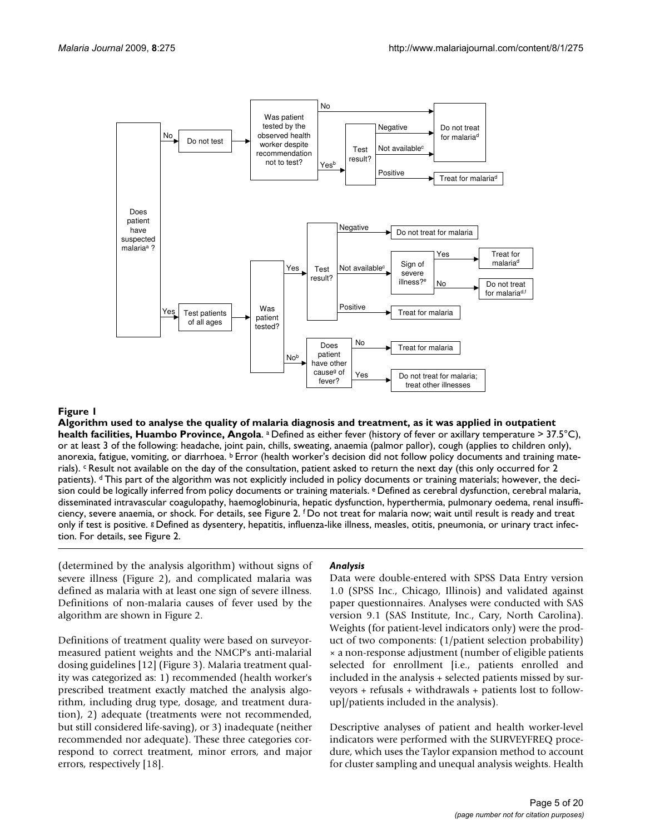

Algorithm used to analyse the quality of mala mbo Province, Angola **Figure 1** ria diagnosis and treatment, as it was applied in outpatient health facilities, Hua-**Algorithm used to analyse the quality of malaria diagnosis and treatment, as it was applied in outpatient health facilities, Huambo Province, Angola**. a Defined as either fever (history of fever or axillary temperature > 37.5°C), or at least 3 of the following: headache, joint pain, chills, sweating, anaemia (palmor pallor), cough (applies to children only), anorexia, fatigue, vomiting, or diarrhoea. <sup>b</sup> Error (health worker's decision did not follow policy documents and training materials). <sup>c</sup> Result not available on the day of the consultation, patient asked to return the next day (this only occurred for 2 patients). <sup>d</sup> This part of the algorithm was not explicitly included in policy documents or training materials; however, the decision could be logically inferred from policy documents or training materials. e Defined as cerebral dysfunction, cerebral malaria, disseminated intravascular coagulopathy, haemoglobinuria, hepatic dysfunction, hyperthermia, pulmonary oedema, renal insufficiency, severe anaemia, or shock. For details, see Figure 2. f Do not treat for malaria now; wait until result is ready and treat only if test is positive. <sup>g</sup> Defined as dysentery, hepatitis, influenza-like illness, measles, otitis, pneumonia, or urinary tract infection. For details, see Figure 2.

(determined by the analysis algorithm) without signs of severe illness (Figure 2), and complicated malaria was defined as malaria with at least one sign of severe illness. Definitions of non-malaria causes of fever used by the algorithm are shown in Figure 2.

Definitions of treatment quality were based on surveyormeasured patient weights and the NMCP's anti-malarial dosing guidelines [12] (Figure 3). Malaria treatment quality was categorized as: 1) recommended (health worker's prescribed treatment exactly matched the analysis algorithm, including drug type, dosage, and treatment duration), 2) adequate (treatments were not recommended, but still considered life-saving), or 3) inadequate (neither recommended nor adequate). These three categories correspond to correct treatment, minor errors, and major errors, respectively [18].

#### *Analysis*

Data were double-entered with SPSS Data Entry version 1.0 (SPSS Inc., Chicago, Illinois) and validated against paper questionnaires. Analyses were conducted with SAS version 9.1 (SAS Institute, Inc., Cary, North Carolina). Weights (for patient-level indicators only) were the product of two components: (1/patient selection probability) × a non-response adjustment (number of eligible patients selected for enrollment [i.e., patients enrolled and included in the analysis + selected patients missed by surveyors + refusals + withdrawals + patients lost to followup]/patients included in the analysis).

Descriptive analyses of patient and health worker-level indicators were performed with the SURVEYFREQ procedure, which uses the Taylor expansion method to account for cluster sampling and unequal analysis weights. Health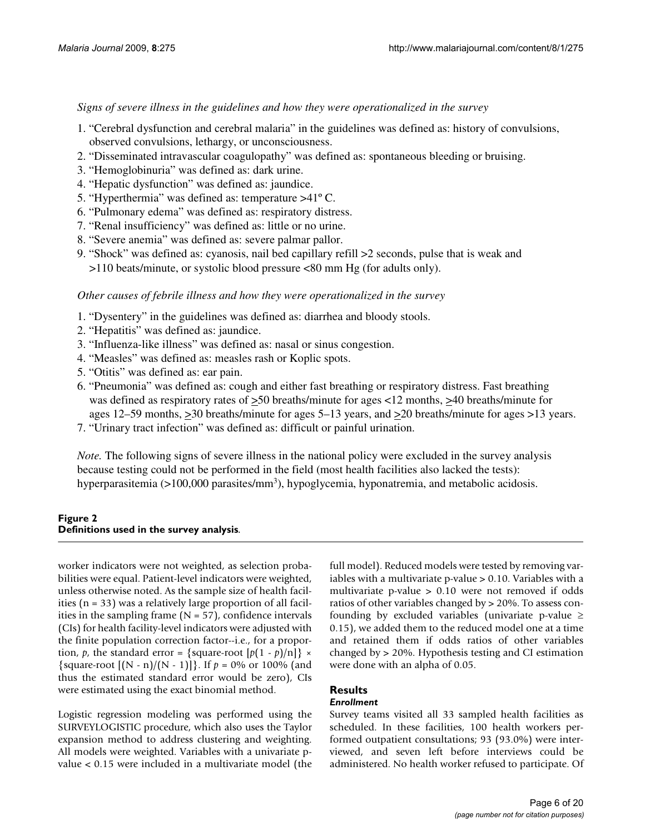*Signs of severe illness in the guidelines and how they were operationalized in the survey*

- 1. "Cerebral dysfunction and cerebral malaria" in the guidelines was defined as: history of convulsions, observed convulsions, lethargy, or unconsciousness.
- 2. "Disseminated intravascular coagulopathy" was defined as: spontaneous bleeding or bruising.
- 3. "Hemoglobinuria" was defined as: dark urine.
- 4. "Hepatic dysfunction" was defined as: jaundice.
- 5. "Hyperthermia" was defined as: temperature >41º C.
- 6. "Pulmonary edema" was defined as: respiratory distress.
- 7. "Renal insufficiency" was defined as: little or no urine.
- 8. "Severe anemia" was defined as: severe palmar pallor.
- 9. "Shock" was defined as: cyanosis, nail bed capillary refill >2 seconds, pulse that is weak and >110 beats/minute, or systolic blood pressure <80 mm Hg (for adults only).

### *Other causes of febrile illness and how they were operationalized in the survey*

- 1. "Dysentery" in the guidelines was defined as: diarrhea and bloody stools.
- 2. "Hepatitis" was defined as: jaundice.
- 3. "Influenza-like illness" was defined as: nasal or sinus congestion.
- 4. "Measles" was defined as: measles rash or Koplic spots.
- 5. "Otitis" was defined as: ear pain.
- 6. "Pneumonia" was defined as: cough and either fast breathing or respiratory distress. Fast breathing was defined as respiratory rates of  $\geq$ 50 breaths/minute for ages <12 months,  $\geq$ 40 breaths/minute for ages 12–59 months,  $\geq$ 30 breaths/minute for ages 5–13 years, and  $\geq$ 20 breaths/minute for ages >13 years.
- 7. "Urinary tract infection" was defined as: difficult or painful urination.

*Note.* The following signs of severe illness in the national policy were excluded in the survey analysis because testing could not be performed in the field (most health facilities also lacked the tests): hyperparasitemia (>100,000 parasites/mm<sup>3</sup>), hypoglycemia, hyponatremia, and metabolic acidosis.

#### **Figure 2 Definitions used in the survey analysis**.

worker indicators were not weighted, as selection probabilities were equal. Patient-level indicators were weighted, unless otherwise noted. As the sample size of health facilities (n = 33) was a relatively large proportion of all facilities in the sampling frame  $(N = 57)$ , confidence intervals (CIs) for health facility-level indicators were adjusted with the finite population correction factor--i.e., for a proportion, *p*, the standard error = {square-root  $[p(1 - p)/n]$ } × {square-root [(N - n)/(N - 1)]}. If *p* = 0% or 100% (and thus the estimated standard error would be zero), CIs were estimated using the exact binomial method.

Logistic regression modeling was performed using the SURVEYLOGISTIC procedure, which also uses the Taylor expansion method to address clustering and weighting. All models were weighted. Variables with a univariate pvalue < 0.15 were included in a multivariate model (the full model). Reduced models were tested by removing variables with a multivariate p-value > 0.10. Variables with a multivariate p-value > 0.10 were not removed if odds ratios of other variables changed by > 20%. To assess confounding by excluded variables (univariate p-value  $\geq$ 0.15), we added them to the reduced model one at a time and retained them if odds ratios of other variables changed by > 20%. Hypothesis testing and CI estimation were done with an alpha of 0.05.

## **Results**

### *Enrollment*

Survey teams visited all 33 sampled health facilities as scheduled. In these facilities, 100 health workers performed outpatient consultations; 93 (93.0%) were interviewed, and seven left before interviews could be administered. No health worker refused to participate. Of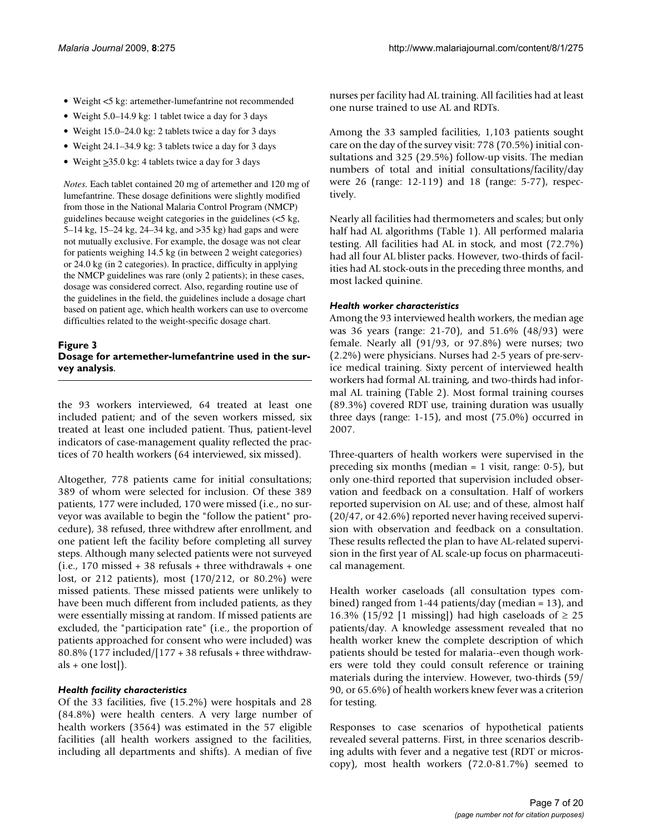- Weight <5 kg: artemether-lumefantrine not recommended
- Weight 5.0–14.9 kg: 1 tablet twice a day for 3 days
- Weight 15.0–24.0 kg: 2 tablets twice a day for 3 days
- Weight 24.1–34.9 kg: 3 tablets twice a day for 3 days
- Weight  $\geq$ 35.0 kg: 4 tablets twice a day for 3 days

*Notes.* Each tablet contained 20 mg of artemether and 120 mg of lumefantrine. These dosage definitions were slightly modified from those in the National Malaria Control Program (NMCP) guidelines because weight categories in the guidelines  $\langle \langle 5 \rangle$  kg, 5–14 kg, 15–24 kg, 24–34 kg, and >35 kg) had gaps and were not mutually exclusive. For example, the dosage was not clear for patients weighing 14.5 kg (in between 2 weight categories) or 24.0 kg (in 2 categories). In practice, difficulty in applying the NMCP guidelines was rare (only 2 patients); in these cases, dosage was considered correct. Also, regarding routine use of the guidelines in the field, the guidelines include a dosage chart based on patient age, which health workers can use to overcome difficulties related to the weight-specific dosage chart.

#### **Figure 3**

#### **Dosage for artemether-lumefantrine used in the survey analysis**.

the 93 workers interviewed, 64 treated at least one included patient; and of the seven workers missed, six treated at least one included patient. Thus, patient-level indicators of case-management quality reflected the practices of 70 health workers (64 interviewed, six missed).

Altogether, 778 patients came for initial consultations; 389 of whom were selected for inclusion. Of these 389 patients, 177 were included, 170 were missed (i.e., no surveyor was available to begin the "follow the patient" procedure), 38 refused, three withdrew after enrollment, and one patient left the facility before completing all survey steps. Although many selected patients were not surveyed (i.e., 170 missed + 38 refusals + three withdrawals + one lost, or 212 patients), most (170/212, or 80.2%) were missed patients. These missed patients were unlikely to have been much different from included patients, as they were essentially missing at random. If missed patients are excluded, the "participation rate" (i.e., the proportion of patients approached for consent who were included) was 80.8% (177 included/ $(177 + 38 \text{ refusals} + \text{three with draw-}$ als  $+$  one lost]).

#### *Health facility characteristics*

Of the 33 facilities, five (15.2%) were hospitals and 28 (84.8%) were health centers. A very large number of health workers (3564) was estimated in the 57 eligible facilities (all health workers assigned to the facilities, including all departments and shifts). A median of five

nurses per facility had AL training. All facilities had at least one nurse trained to use AL and RDTs.

Among the 33 sampled facilities, 1,103 patients sought care on the day of the survey visit: 778 (70.5%) initial consultations and 325 (29.5%) follow-up visits. The median numbers of total and initial consultations/facility/day were 26 (range: 12-119) and 18 (range: 5-77), respectively.

Nearly all facilities had thermometers and scales; but only half had AL algorithms (Table 1). All performed malaria testing. All facilities had AL in stock, and most (72.7%) had all four AL blister packs. However, two-thirds of facilities had AL stock-outs in the preceding three months, and most lacked quinine.

#### *Health worker characteristics*

Among the 93 interviewed health workers, the median age was 36 years (range: 21-70), and 51.6% (48/93) were female. Nearly all (91/93, or 97.8%) were nurses; two (2.2%) were physicians. Nurses had 2-5 years of pre-service medical training. Sixty percent of interviewed health workers had formal AL training, and two-thirds had informal AL training (Table 2). Most formal training courses (89.3%) covered RDT use, training duration was usually three days (range: 1-15), and most (75.0%) occurred in 2007.

Three-quarters of health workers were supervised in the preceding six months (median = 1 visit, range: 0-5), but only one-third reported that supervision included observation and feedback on a consultation. Half of workers reported supervision on AL use; and of these, almost half (20/47, or 42.6%) reported never having received supervision with observation and feedback on a consultation. These results reflected the plan to have AL-related supervision in the first year of AL scale-up focus on pharmaceutical management.

Health worker caseloads (all consultation types combined) ranged from 1-44 patients/day (median = 13), and 16.3% (15/92 [1 missing]) had high caseloads of  $\geq 25$ patients/day. A knowledge assessment revealed that no health worker knew the complete description of which patients should be tested for malaria--even though workers were told they could consult reference or training materials during the interview. However, two-thirds (59/ 90, or 65.6%) of health workers knew fever was a criterion for testing.

Responses to case scenarios of hypothetical patients revealed several patterns. First, in three scenarios describing adults with fever and a negative test (RDT or microscopy), most health workers (72.0-81.7%) seemed to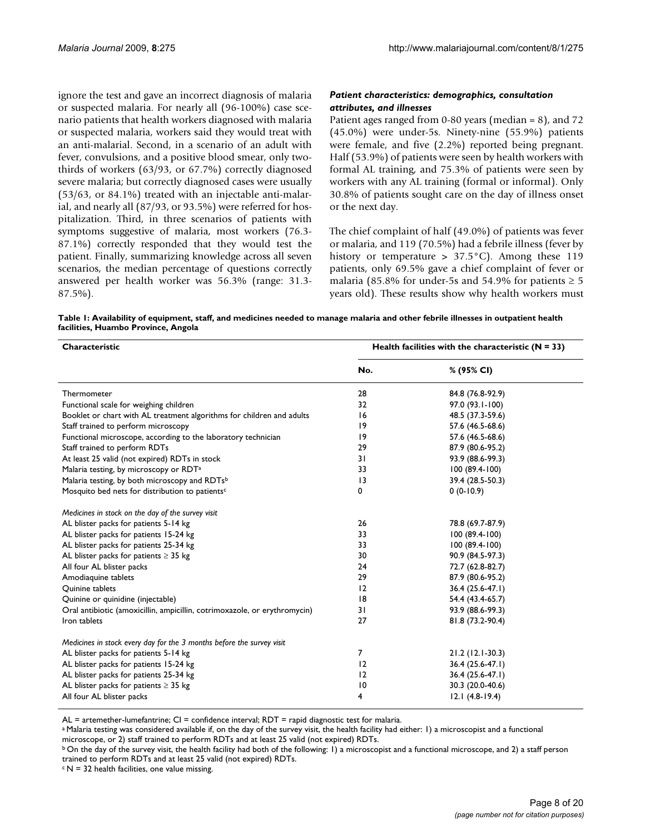ignore the test and gave an incorrect diagnosis of malaria or suspected malaria. For nearly all (96-100%) case scenario patients that health workers diagnosed with malaria or suspected malaria, workers said they would treat with an anti-malarial. Second, in a scenario of an adult with fever, convulsions, and a positive blood smear, only twothirds of workers (63/93, or 67.7%) correctly diagnosed severe malaria; but correctly diagnosed cases were usually (53/63, or 84.1%) treated with an injectable anti-malarial, and nearly all (87/93, or 93.5%) were referred for hospitalization. Third, in three scenarios of patients with symptoms suggestive of malaria, most workers (76.3- 87.1%) correctly responded that they would test the patient. Finally, summarizing knowledge across all seven scenarios, the median percentage of questions correctly answered per health worker was 56.3% (range: 31.3- 87.5%).

#### *Patient characteristics: demographics, consultation attributes, and illnesses*

Patient ages ranged from 0-80 years (median = 8), and 72 (45.0%) were under-5s. Ninety-nine (55.9%) patients were female, and five (2.2%) reported being pregnant. Half (53.9%) of patients were seen by health workers with formal AL training, and 75.3% of patients were seen by workers with any AL training (formal or informal). Only 30.8% of patients sought care on the day of illness onset or the next day.

The chief complaint of half (49.0%) of patients was fever or malaria, and 119 (70.5%) had a febrile illness (fever by history or temperature > 37.5°C). Among these 119 patients, only 69.5% gave a chief complaint of fever or malaria (85.8% for under-5s and 54.9% for patients  $\geq$  5 years old). These results show why health workers must

| Table 1: Availability of equipment, staff, and medicines needed to manage malaria and other febrile illnesses in outpatient health |
|------------------------------------------------------------------------------------------------------------------------------------|
| facilities, Huambo Province, Angola                                                                                                |

| Characteristic                                                            | Health facilities with the characteristic $(N = 33)$ |                   |  |  |
|---------------------------------------------------------------------------|------------------------------------------------------|-------------------|--|--|
|                                                                           | No.                                                  | % (95% CI)        |  |  |
| Thermometer                                                               | 28                                                   | 84.8 (76.8-92.9)  |  |  |
| Functional scale for weighing children                                    | 32                                                   | 97.0 (93.1-100)   |  |  |
| Booklet or chart with AL treatment algorithms for children and adults     | 16                                                   | 48.5 (37.3-59.6)  |  |  |
| Staff trained to perform microscopy                                       | $ 9\rangle$                                          | 57.6 (46.5-68.6)  |  |  |
| Functional microscope, according to the laboratory technician             | 19                                                   | 57.6 (46.5-68.6)  |  |  |
| Staff trained to perform RDTs                                             | 29                                                   | 87.9 (80.6-95.2)  |  |  |
| At least 25 valid (not expired) RDTs in stock                             | 31                                                   | 93.9 (88.6-99.3)  |  |  |
| Malaria testing, by microscopy or RDT <sup>a</sup>                        | 33                                                   | $100(89.4-100)$   |  |  |
| Malaria testing, by both microscopy and RDTsb                             | $\overline{13}$                                      | 39.4 (28.5-50.3)  |  |  |
| Mosquito bed nets for distribution to patients <sup>c</sup>               | 0                                                    | $0(0-10.9)$       |  |  |
| Medicines in stock on the day of the survey visit                         |                                                      |                   |  |  |
| AL blister packs for patients 5-14 kg                                     | 26                                                   | 78.8 (69.7-87.9)  |  |  |
| AL blister packs for patients 15-24 kg                                    | 33                                                   | $100(89.4-100)$   |  |  |
| AL blister packs for patients 25-34 kg                                    | 33                                                   | $100(89.4-100)$   |  |  |
| AL blister packs for patients $\geq$ 35 kg                                | 30                                                   | 90.9 (84.5-97.3)  |  |  |
| All four AL blister packs                                                 | 24                                                   | 72.7 (62.8-82.7)  |  |  |
| Amodiaquine tablets                                                       | 29                                                   | 87.9 (80.6-95.2)  |  |  |
| Quinine tablets                                                           | 12                                                   | $36.4(25.6-47.1)$ |  |  |
| Quinine or quinidine (injectable)                                         | 18                                                   | 54.4 (43.4-65.7)  |  |  |
| Oral antibiotic (amoxicillin, ampicillin, cotrimoxazole, or erythromycin) | 31                                                   | 93.9 (88.6-99.3)  |  |  |
| Iron tablets                                                              | 27                                                   | 81.8 (73.2-90.4)  |  |  |
| Medicines in stock every day for the 3 months before the survey visit     |                                                      |                   |  |  |
| AL blister packs for patients 5-14 kg                                     | 7                                                    | $21.2(12.1-30.3)$ |  |  |
| AL blister packs for patients 15-24 kg                                    | 12                                                   | $36.4(25.6-47.1)$ |  |  |
| AL blister packs for patients 25-34 kg                                    | 12                                                   | 36.4 (25.6-47.1)  |  |  |
| AL blister packs for patients $\geq$ 35 kg                                | $\overline{10}$                                      | 30.3 (20.0-40.6)  |  |  |
| All four AL blister packs                                                 | 4                                                    | $12.1 (4.8-19.4)$ |  |  |

AL = artemether-lumefantrine; CI = confidence interval; RDT = rapid diagnostic test for malaria.

a Malaria testing was considered available if, on the day of the survey visit, the health facility had either: 1) a microscopist and a functional microscope, or 2) staff trained to perform RDTs and at least 25 valid (not expired) RDTs.

b On the day of the survey visit, the health facility had both of the following: 1) a microscopist and a functional microscope, and 2) a staff person trained to perform RDTs and at least 25 valid (not expired) RDTs.

 $c$  N = 32 health facilities, one value missing.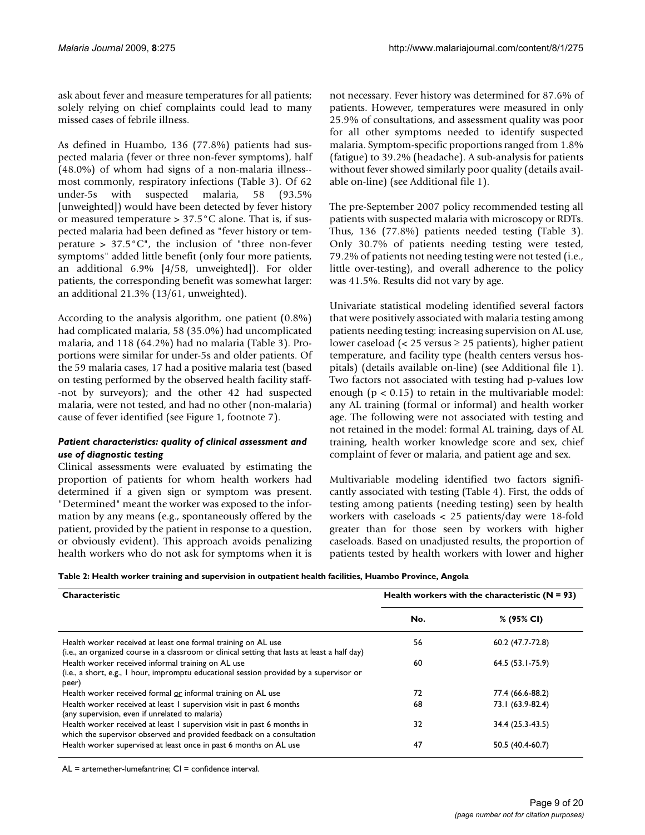ask about fever and measure temperatures for all patients; solely relying on chief complaints could lead to many missed cases of febrile illness.

As defined in Huambo, 136 (77.8%) patients had suspected malaria (fever or three non-fever symptoms), half (48.0%) of whom had signs of a non-malaria illness- most commonly, respiratory infections (Table 3). Of 62 under-5s with suspected malaria, 58 (93.5% [unweighted]) would have been detected by fever history or measured temperature  $> 37.5^{\circ}$ C alone. That is, if suspected malaria had been defined as "fever history or temperature  $> 37.5^{\circ}C$ , the inclusion of "three non-fever symptoms" added little benefit (only four more patients, an additional 6.9% [4/58, unweighted]). For older patients, the corresponding benefit was somewhat larger: an additional 21.3% (13/61, unweighted).

According to the analysis algorithm, one patient (0.8%) had complicated malaria, 58 (35.0%) had uncomplicated malaria, and 118 (64.2%) had no malaria (Table 3). Proportions were similar for under-5s and older patients. Of the 59 malaria cases, 17 had a positive malaria test (based on testing performed by the observed health facility staff- -not by surveyors); and the other 42 had suspected malaria, were not tested, and had no other (non-malaria) cause of fever identified (see Figure 1, footnote 7).

#### *Patient characteristics: quality of clinical assessment and use of diagnostic testing*

Clinical assessments were evaluated by estimating the proportion of patients for whom health workers had determined if a given sign or symptom was present. "Determined" meant the worker was exposed to the information by any means (e.g., spontaneously offered by the patient, provided by the patient in response to a question, or obviously evident). This approach avoids penalizing health workers who do not ask for symptoms when it is not necessary. Fever history was determined for 87.6% of patients. However, temperatures were measured in only 25.9% of consultations, and assessment quality was poor for all other symptoms needed to identify suspected malaria. Symptom-specific proportions ranged from 1.8% (fatigue) to 39.2% (headache). A sub-analysis for patients without fever showed similarly poor quality (details available on-line) (see Additional file 1).

The pre-September 2007 policy recommended testing all patients with suspected malaria with microscopy or RDTs. Thus, 136 (77.8%) patients needed testing (Table 3). Only 30.7% of patients needing testing were tested, 79.2% of patients not needing testing were not tested (i.e., little over-testing), and overall adherence to the policy was 41.5%. Results did not vary by age.

Univariate statistical modeling identified several factors that were positively associated with malaria testing among patients needing testing: increasing supervision on AL use, lower caseload (< 25 versus ≥ 25 patients), higher patient temperature, and facility type (health centers versus hospitals) (details available on-line) (see Additional file 1). Two factors not associated with testing had p-values low enough ( $p < 0.15$ ) to retain in the multivariable model: any AL training (formal or informal) and health worker age. The following were not associated with testing and not retained in the model: formal AL training, days of AL training, health worker knowledge score and sex, chief complaint of fever or malaria, and patient age and sex.

Multivariable modeling identified two factors significantly associated with testing (Table 4). First, the odds of testing among patients (needing testing) seen by health workers with caseloads < 25 patients/day were 18-fold greater than for those seen by workers with higher caseloads. Based on unadjusted results, the proportion of patients tested by health workers with lower and higher

**Table 2: Health worker training and supervision in outpatient health facilities, Huambo Province, Angola**

| Characteristic                                                                                                                                                 | Health workers with the characteristic $(N = 93)$ |                  |  |  |
|----------------------------------------------------------------------------------------------------------------------------------------------------------------|---------------------------------------------------|------------------|--|--|
|                                                                                                                                                                | No.                                               | % (95% CI)       |  |  |
| Health worker received at least one formal training on AL use<br>(i.e., an organized course in a classroom or clinical setting that lasts at least a half day) | 56                                                | 60.2 (47.7-72.8) |  |  |
| Health worker received informal training on AL use<br>(i.e., a short, e.g., I hour, impromptu educational session provided by a supervisor or<br>peer)         | 60                                                | 64.5 (53.1-75.9) |  |  |
| Health worker received formal or informal training on AL use                                                                                                   | 72                                                | 77.4 (66.6-88.2) |  |  |
| Health worker received at least I supervision visit in past 6 months<br>(any supervision, even if unrelated to malaria)                                        | 68                                                | 73.1 (63.9-82.4) |  |  |
| Health worker received at least I supervision visit in past 6 months in<br>which the supervisor observed and provided feedback on a consultation               | 32                                                | 34.4 (25.3-43.5) |  |  |
| Health worker supervised at least once in past 6 months on AL use                                                                                              | 47                                                | 50.5 (40.4-60.7) |  |  |

 $AL =$  artemether-lumefantrine:  $CI =$  confidence interval.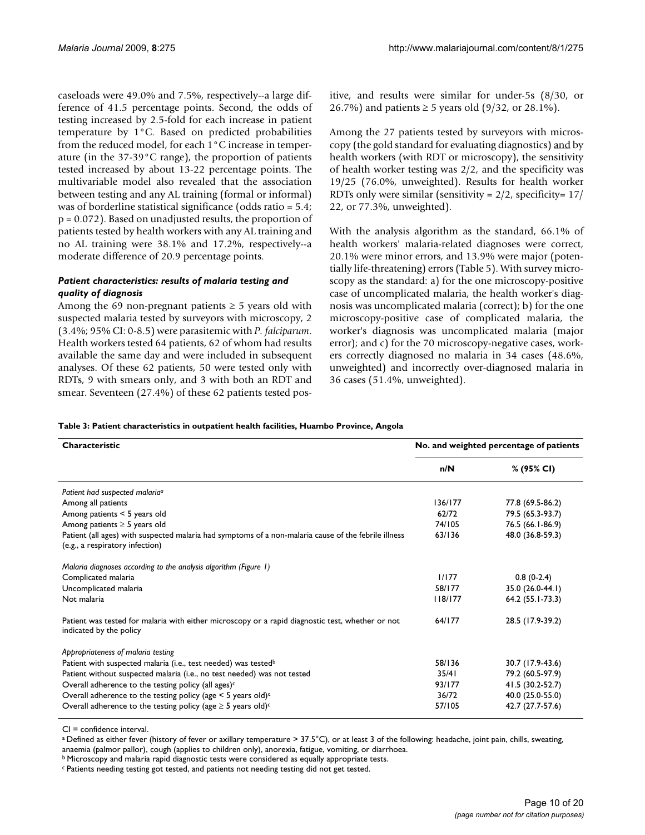caseloads were 49.0% and 7.5%, respectively--a large difference of 41.5 percentage points. Second, the odds of testing increased by 2.5-fold for each increase in patient temperature by 1°C. Based on predicted probabilities from the reduced model, for each 1°C increase in temperature (in the 37-39°C range), the proportion of patients tested increased by about 13-22 percentage points. The multivariable model also revealed that the association between testing and any AL training (formal or informal) was of borderline statistical significance (odds ratio = 5.4; p = 0.072). Based on unadjusted results, the proportion of patients tested by health workers with any AL training and no AL training were 38.1% and 17.2%, respectively--a moderate difference of 20.9 percentage points.

#### *Patient characteristics: results of malaria testing and quality of diagnosis*

Among the 69 non-pregnant patients  $\geq$  5 years old with suspected malaria tested by surveyors with microscopy, 2 (3.4%; 95% CI: 0-8.5) were parasitemic with *P. falciparum*. Health workers tested 64 patients, 62 of whom had results available the same day and were included in subsequent analyses. Of these 62 patients, 50 were tested only with RDTs, 9 with smears only, and 3 with both an RDT and smear. Seventeen (27.4%) of these 62 patients tested positive, and results were similar for under-5s (8/30, or 26.7%) and patients ≥ 5 years old  $(9/32, or 28.1%)$ .

Among the 27 patients tested by surveyors with microscopy (the gold standard for evaluating diagnostics) and by health workers (with RDT or microscopy), the sensitivity of health worker testing was 2/2, and the specificity was 19/25 (76.0%, unweighted). Results for health worker RDTs only were similar (sensitivity =  $2/2$ , specificity =  $17/$ ) 22, or 77.3%, unweighted).

With the analysis algorithm as the standard, 66.1% of health workers' malaria-related diagnoses were correct, 20.1% were minor errors, and 13.9% were major (potentially life-threatening) errors (Table 5). With survey microscopy as the standard: a) for the one microscopy-positive case of uncomplicated malaria, the health worker's diagnosis was uncomplicated malaria (correct); b) for the one microscopy-positive case of complicated malaria, the worker's diagnosis was uncomplicated malaria (major error); and c) for the 70 microscopy-negative cases, workers correctly diagnosed no malaria in 34 cases (48.6%, unweighted) and incorrectly over-diagnosed malaria in 36 cases (51.4%, unweighted).

#### **Table 3: Patient characteristics in outpatient health facilities, Huambo Province, Angola**

| Characteristic                                                                                                                          | No. and weighted percentage of patients |                  |
|-----------------------------------------------------------------------------------------------------------------------------------------|-----------------------------------------|------------------|
|                                                                                                                                         | n/N                                     | % (95% CI)       |
| Patient had suspected malaria <sup>a</sup>                                                                                              |                                         |                  |
| Among all patients                                                                                                                      | 136/177                                 | 77.8 (69.5-86.2) |
| Among patients < 5 years old                                                                                                            | 62/72                                   | 79.5 (65.3-93.7) |
| Among patients $\geq$ 5 years old                                                                                                       | 74/105                                  | 76.5 (66.1-86.9) |
| Patient (all ages) with suspected malaria had symptoms of a non-malaria cause of the febrile illness<br>(e.g., a respiratory infection) | 63/136                                  | 48.0 (36.8-59.3) |
| Malaria diagnoses according to the analysis algorithm (Figure 1)                                                                        |                                         |                  |
| Complicated malaria                                                                                                                     | 1/177                                   | $0.8(0-2.4)$     |
| Uncomplicated malaria                                                                                                                   | 58/177                                  | 35.0 (26.0-44.1) |
| Not malaria                                                                                                                             | 118/177                                 | 64.2 (55.1-73.3) |
| Patient was tested for malaria with either microscopy or a rapid diagnostic test, whether or not<br>indicated by the policy             | 64/177                                  | 28.5 (17.9-39.2) |
| Appropriateness of malaria testing                                                                                                      |                                         |                  |
| Patient with suspected malaria (i.e., test needed) was tested <sup>b</sup>                                                              | 58/136                                  | 30.7 (17.9-43.6) |
| Patient without suspected malaria (i.e., no test needed) was not tested                                                                 | 35/41                                   | 79.2 (60.5-97.9) |
| Overall adherence to the testing policy (all ages) $c$                                                                                  | 93/177                                  | 41.5 (30.2-52.7) |
| Overall adherence to the testing policy (age $\leq$ 5 years old) <sup>c</sup>                                                           | 36/72                                   | 40.0 (25.0-55.0) |
| Overall adherence to the testing policy (age $\geq$ 5 years old) <sup>c</sup>                                                           | 57/105                                  | 42.7 (27.7-57.6) |

CI = confidence interval.

<sup>a</sup> Defined as either fever (history of fever or axillary temperature > 37.5°C), or at least 3 of the following: headache, joint pain, chills, sweating,

anaemia (palmor pallor), cough (applies to children only), anorexia, fatigue, vomiting, or diarrhoea.

**b Microscopy and malaria rapid diagnostic tests were considered as equally appropriate tests.** 

c Patients needing testing got tested, and patients not needing testing did not get tested.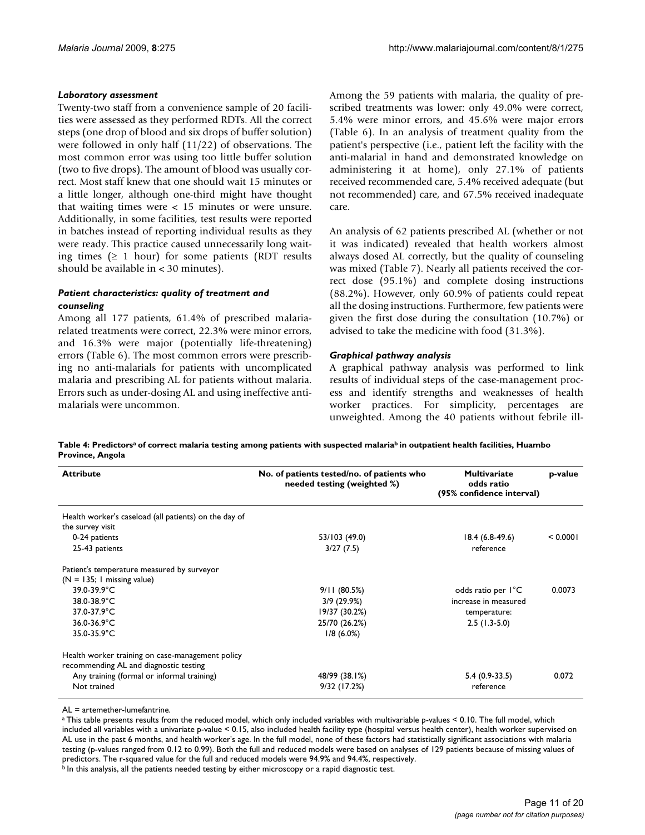#### *Laboratory assessment*

Twenty-two staff from a convenience sample of 20 facilities were assessed as they performed RDTs. All the correct steps (one drop of blood and six drops of buffer solution) were followed in only half (11/22) of observations. The most common error was using too little buffer solution (two to five drops). The amount of blood was usually correct. Most staff knew that one should wait 15 minutes or a little longer, although one-third might have thought that waiting times were < 15 minutes or were unsure. Additionally, in some facilities, test results were reported in batches instead of reporting individual results as they were ready. This practice caused unnecessarily long waiting times ( $\geq 1$  hour) for some patients (RDT results should be available in < 30 minutes).

#### *Patient characteristics: quality of treatment and counseling*

Among all 177 patients, 61.4% of prescribed malariarelated treatments were correct, 22.3% were minor errors, and 16.3% were major (potentially life-threatening) errors (Table 6). The most common errors were prescribing no anti-malarials for patients with uncomplicated malaria and prescribing AL for patients without malaria. Errors such as under-dosing AL and using ineffective antimalarials were uncommon.

Among the 59 patients with malaria, the quality of prescribed treatments was lower: only 49.0% were correct, 5.4% were minor errors, and 45.6% were major errors (Table 6). In an analysis of treatment quality from the patient's perspective (i.e., patient left the facility with the anti-malarial in hand and demonstrated knowledge on administering it at home), only 27.1% of patients received recommended care, 5.4% received adequate (but not recommended) care, and 67.5% received inadequate care.

An analysis of 62 patients prescribed AL (whether or not it was indicated) revealed that health workers almost always dosed AL correctly, but the quality of counseling was mixed (Table 7). Nearly all patients received the correct dose (95.1%) and complete dosing instructions (88.2%). However, only 60.9% of patients could repeat all the dosing instructions. Furthermore, few patients were given the first dose during the consultation (10.7%) or advised to take the medicine with food (31.3%).

#### *Graphical pathway analysis*

A graphical pathway analysis was performed to link results of individual steps of the case-management process and identify strengths and weaknesses of health worker practices. For simplicity, percentages are unweighted. Among the 40 patients without febrile ill-

Table 4: Predictors<sup>a</sup> of correct malaria testing among patients with suspected malaria<sup>b</sup> in outpatient health facilities, Huambo **Province, Angola**

| <b>Attribute</b><br>No. of patients tested/no. of patients who<br>needed testing (weighted %)                                                                                 |                                                                             | <b>Multivariate</b><br>odds ratio<br>(95% confidence interval)                | p-value  |  |
|-------------------------------------------------------------------------------------------------------------------------------------------------------------------------------|-----------------------------------------------------------------------------|-------------------------------------------------------------------------------|----------|--|
| Health worker's caseload (all patients) on the day of<br>the survey visit<br>0-24 patients<br>25-43 patients                                                                  | 53/103 (49.0)<br>3/27(7.5)                                                  | $18.4(6.8-49.6)$<br>reference                                                 | < 0.0001 |  |
| Patient's temperature measured by surveyor<br>$(N = 135; 1$ missing value)<br>39.0-39.9°C<br>38.0-38.9°C<br>37.0-37.9°C<br>$36.0 - 36.9^{\circ}$ C<br>$35.0 - 35.9^{\circ}$ C | 9/11(80.5%)<br>3/9(29.9%)<br>19/37 (30.2%)<br>25/70 (26.2%)<br>$1/8(6.0\%)$ | odds ratio per l°C<br>increase in measured<br>temperature:<br>$2.5$ (1.3-5.0) | 0.0073   |  |
| Health worker training on case-management policy<br>recommending AL and diagnostic testing<br>Any training (formal or informal training)<br>Not trained                       | 48/99 (38.1%)<br>9/32 (17.2%)                                               | $5.4(0.9-33.5)$<br>reference                                                  | 0.072    |  |

AL = artemether-lumefantrine.

a This table presents results from the reduced model, which only included variables with multivariable p-values < 0.10. The full model, which included all variables with a univariate p-value < 0.15, also included health facility type (hospital versus health center), health worker supervised on AL use in the past 6 months, and health worker's age. In the full model, none of these factors had statistically significant associations with malaria testing (p-values ranged from 0.12 to 0.99). Both the full and reduced models were based on analyses of 129 patients because of missing values of predictors. The r-squared value for the full and reduced models were 94.9% and 94.4%, respectively.

b In this analysis, all the patients needed testing by either microscopy or a rapid diagnostic test.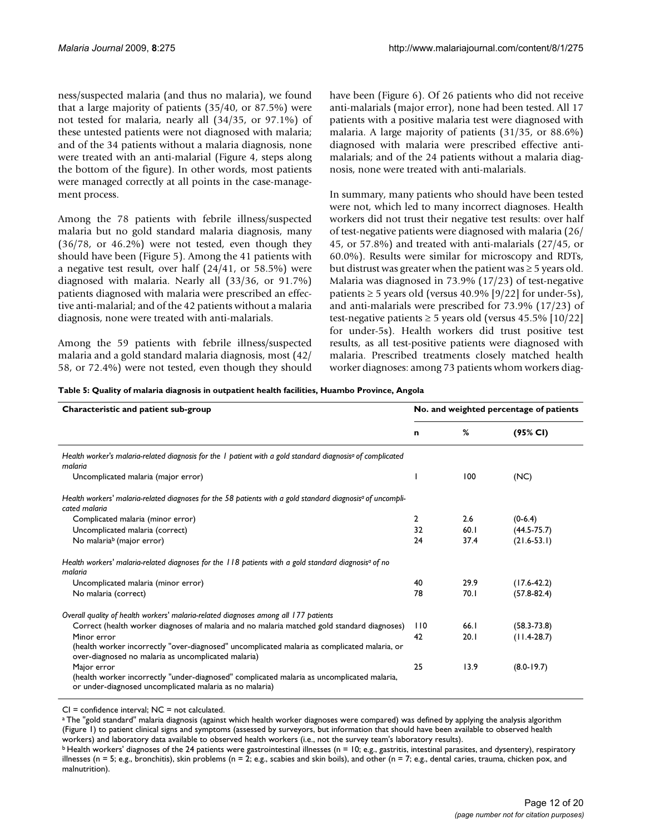ness/suspected malaria (and thus no malaria), we found that a large majority of patients (35/40, or 87.5%) were not tested for malaria, nearly all (34/35, or 97.1%) of these untested patients were not diagnosed with malaria; and of the 34 patients without a malaria diagnosis, none were treated with an anti-malarial (Figure 4, steps along the bottom of the figure). In other words, most patients were managed correctly at all points in the case-management process.

Among the 78 patients with febrile illness/suspected malaria but no gold standard malaria diagnosis, many (36/78, or 46.2%) were not tested, even though they should have been (Figure 5). Among the 41 patients with a negative test result, over half (24/41, or 58.5%) were diagnosed with malaria. Nearly all (33/36, or 91.7%) patients diagnosed with malaria were prescribed an effective anti-malarial; and of the 42 patients without a malaria diagnosis, none were treated with anti-malarials.

Among the 59 patients with febrile illness/suspected malaria and a gold standard malaria diagnosis, most (42/ 58, or 72.4%) were not tested, even though they should have been (Figure 6). Of 26 patients who did not receive anti-malarials (major error), none had been tested. All 17 patients with a positive malaria test were diagnosed with malaria. A large majority of patients (31/35, or 88.6%) diagnosed with malaria were prescribed effective antimalarials; and of the 24 patients without a malaria diagnosis, none were treated with anti-malarials.

In summary, many patients who should have been tested were not, which led to many incorrect diagnoses. Health workers did not trust their negative test results: over half of test-negative patients were diagnosed with malaria (26/ 45, or 57.8%) and treated with anti-malarials (27/45, or 60.0%). Results were similar for microscopy and RDTs, but distrust was greater when the patient was  $\geq$  5 years old. Malaria was diagnosed in 73.9% (17/23) of test-negative patients  $\geq$  5 years old (versus 40.9% [9/22] for under-5s), and anti-malarials were prescribed for 73.9% (17/23) of test-negative patients  $\geq$  5 years old (versus 45.5% [10/22] for under-5s). Health workers did trust positive test results, as all test-positive patients were diagnosed with malaria. Prescribed treatments closely matched health worker diagnoses: among 73 patients whom workers diag-

|  |  | Table 5: Quality of malaria diagnosis in outpatient health facilities, Huambo Province, Angola |  |  |
|--|--|------------------------------------------------------------------------------------------------|--|--|
|  |  |                                                                                                |  |  |

| Characteristic and patient sub-group                                                                                                                  |                | No. and weighted percentage of patients |                 |  |  |
|-------------------------------------------------------------------------------------------------------------------------------------------------------|----------------|-----------------------------------------|-----------------|--|--|
|                                                                                                                                                       | n              | %                                       | (95% CI)        |  |  |
| Health worker's malaria-related diagnosis for the 1 patient with a gold standard diagnosis <sup>o</sup> of complicated<br>malaria                     |                |                                         |                 |  |  |
| Uncomplicated malaria (major error)                                                                                                                   |                | 100                                     | (NC)            |  |  |
| Health workers' malaria-related diagnoses for the 58 patients with a gold standard diagnosis <sup>a</sup> of uncompli-<br>cated malaria               |                |                                         |                 |  |  |
| Complicated malaria (minor error)                                                                                                                     | $\overline{2}$ | 2.6                                     | $(0-6.4)$       |  |  |
| Uncomplicated malaria (correct)                                                                                                                       | 32             | 60.1                                    | $(44.5 - 75.7)$ |  |  |
| No malaria <sup>b</sup> (major error)                                                                                                                 | 24             | 37.4                                    | $(21.6 - 53.1)$ |  |  |
| Health workers' malaria-related diagnoses for the 118 patients with a gold standard diagnosis <sup>0</sup> of no<br>malaria                           |                |                                         |                 |  |  |
| Uncomplicated malaria (minor error)                                                                                                                   | 40             | 29.9                                    | $(17.6 - 42.2)$ |  |  |
| No malaria (correct)                                                                                                                                  | 78             | 70.1                                    | $(57.8 - 82.4)$ |  |  |
| Overall quality of health workers' malaria-related diagnoses among all 177 patients                                                                   |                |                                         |                 |  |  |
| Correct (health worker diagnoses of malaria and no malaria matched gold standard diagnoses)                                                           | 110            | 66.1                                    | $(58.3 - 73.8)$ |  |  |
| Minor error                                                                                                                                           | 42             | 20.1                                    | $(11.4-28.7)$   |  |  |
| (health worker incorrectly "over-diagnosed" uncomplicated malaria as complicated malaria, or<br>over-diagnosed no malaria as uncomplicated malaria)   |                |                                         |                 |  |  |
| Major error                                                                                                                                           | 25             | 13.9                                    | $(8.0 - 19.7)$  |  |  |
| (health worker incorrectly "under-diagnosed" complicated malaria as uncomplicated malaria,<br>or under-diagnosed uncomplicated malaria as no malaria) |                |                                         |                 |  |  |

CI = confidence interval; NC = not calculated.

a The "gold standard" malaria diagnosis (against which health worker diagnoses were compared) was defined by applying the analysis algorithm (Figure 1) to patient clinical signs and symptoms (assessed by surveyors, but information that should have been available to observed health workers) and laboratory data available to observed health workers (i.e., not the survey team's laboratory results).

 $\frac{b}{c}$  Health workers' diagnoses of the 24 patients were gastrointestinal illnesses (n = 10; e.g., gastritis, intestinal parasites, and dysentery), respiratory illnesses (n = 5; e.g., bronchitis), skin problems (n = 2; e.g., scabies and skin boils), and other (n = 7; e.g., dental caries, trauma, chicken pox, and malnutrition).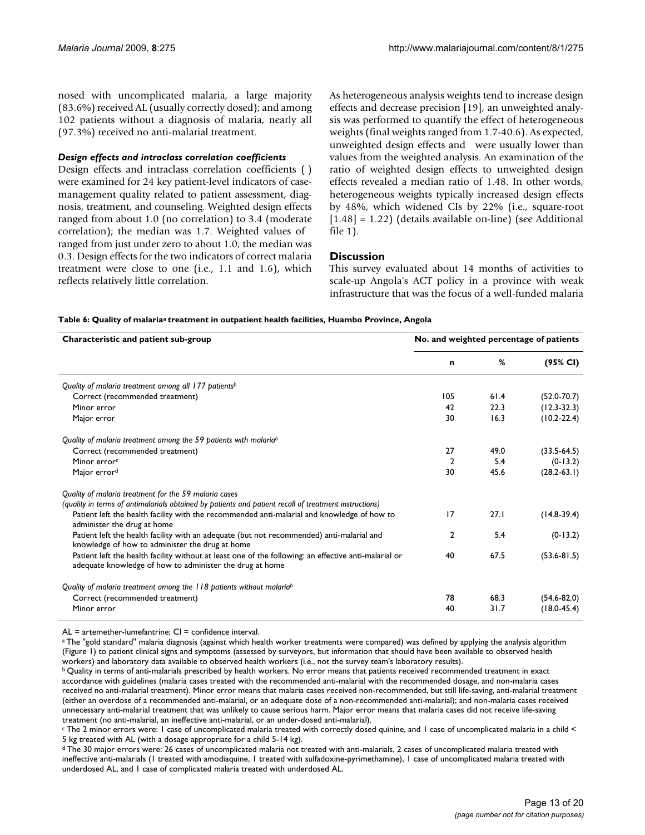nosed with uncomplicated malaria, a large majority (83.6%) received AL (usually correctly dosed); and among 102 patients without a diagnosis of malaria, nearly all (97.3%) received no anti-malarial treatment.

#### *Design effects and intraclass correlation coefficients*

Design effects and intraclass correlation coefficients ( ) were examined for 24 key patient-level indicators of casemanagement quality related to patient assessment, diagnosis, treatment, and counseling. Weighted design effects ranged from about 1.0 (no correlation) to 3.4 (moderate correlation); the median was 1.7. Weighted values of ranged from just under zero to about 1.0; the median was 0.3. Design effects for the two indicators of correct malaria treatment were close to one (i.e., 1.1 and 1.6), which reflects relatively little correlation.

As heterogeneous analysis weights tend to increase design effects and decrease precision [19], an unweighted analysis was performed to quantify the effect of heterogeneous weights (final weights ranged from 1.7-40.6). As expected, unweighted design effects and were usually lower than values from the weighted analysis. An examination of the ratio of weighted design effects to unweighted design effects revealed a median ratio of 1.48. In other words, heterogeneous weights typically increased design effects by 48%, which widened CIs by 22% (i.e., square-root [1.48] = 1.22) (details available on-line) (see Additional file 1).

#### **Discussion**

This survey evaluated about 14 months of activities to scale-up Angola's ACT policy in a province with weak infrastructure that was the focus of a well-funded malaria

#### **Table 6: Quality of malariaa treatment in outpatient health facilities, Huambo Province, Angola**

| Characteristic and patient sub-group                                                                                                                              | No. and weighted percentage of patients |      |                 |  |
|-------------------------------------------------------------------------------------------------------------------------------------------------------------------|-----------------------------------------|------|-----------------|--|
|                                                                                                                                                                   | n                                       | %    | (95% CI)        |  |
| Quality of malaria treatment among all 177 patients <sup>b</sup>                                                                                                  |                                         |      |                 |  |
| Correct (recommended treatment)                                                                                                                                   | 105                                     | 61.4 | $(52.0 - 70.7)$ |  |
| Minor error                                                                                                                                                       | 42                                      | 22.3 | $(12.3 - 32.3)$ |  |
| Major error                                                                                                                                                       | 30                                      | 16.3 | $(10.2 - 22.4)$ |  |
| Quality of malaria treatment among the 59 patients with malaria <sup>b</sup>                                                                                      |                                         |      |                 |  |
| Correct (recommended treatment)                                                                                                                                   | 27                                      | 49.0 | $(33.5 - 64.5)$ |  |
| Minor error <sup>c</sup>                                                                                                                                          | $\mathbf{2}$                            | 5.4  | $(0-13.2)$      |  |
| Major error <sup>d</sup>                                                                                                                                          | 30                                      | 45.6 | $(28.2 - 63.1)$ |  |
| Quality of malaria treatment for the 59 malaria cases<br>(quality in terms of antimalarials obtained by patients and patient recall of treatment instructions)    |                                         |      |                 |  |
| Patient left the health facility with the recommended anti-malarial and knowledge of how to<br>administer the drug at home                                        | 17                                      | 27.1 | $(14.8-39.4)$   |  |
| Patient left the health facility with an adequate (but not recommended) anti-malarial and<br>knowledge of how to administer the drug at home                      | $\mathbf{2}$                            | 5.4  | $(0-13.2)$      |  |
| Patient left the health facility without at least one of the following: an effective anti-malarial or<br>adequate knowledge of how to administer the drug at home | 40                                      | 67.5 | $(53.6 - 81.5)$ |  |
| Quality of malaria treatment among the 118 patients without malariab                                                                                              |                                         |      |                 |  |
| Correct (recommended treatment)                                                                                                                                   | 78                                      | 68.3 | $(54.6 - 82.0)$ |  |
| Minor error                                                                                                                                                       | 40                                      | 31.7 | $(18.0 - 45.4)$ |  |

 $AL =$  artemether-lumefantrine;  $CI =$  confidence interval.

a The "gold standard" malaria diagnosis (against which health worker treatments were compared) was defined by applying the analysis algorithm (Figure 1) to patient clinical signs and symptoms (assessed by surveyors, but information that should have been available to observed health workers) and laboratory data available to observed health workers (i.e., not the survey team's laboratory results).

b Quality in terms of anti-malarials prescribed by health workers. No error means that patients received recommended treatment in exact accordance with guidelines (malaria cases treated with the recommended anti-malarial with the recommended dosage, and non-malaria cases received no anti-malarial treatment). Minor error means that malaria cases received non-recommended, but still life-saving, anti-malarial treatment (either an overdose of a recommended anti-malarial, or an adequate dose of a non-recommended anti-malarial); and non-malaria cases received unnecessary anti-malarial treatment that was unlikely to cause serious harm. Major error means that malaria cases did not receive life-saving treatment (no anti-malarial, an ineffective anti-malarial, or an under-dosed anti-malarial).

c The 2 minor errors were: I case of uncomplicated malaria treated with correctly dosed quinine, and I case of uncomplicated malaria in a child < 5 kg treated with AL (with a dosage appropriate for a child 5-14 kg).

d The 30 major errors were: 26 cases of uncomplicated malaria not treated with anti-malarials, 2 cases of uncomplicated malaria treated with ineffective anti-malarials (1 treated with amodiaquine, 1 treated with sulfadoxine-pyrimethamine), 1 case of uncomplicated malaria treated with underdosed AL, and 1 case of complicated malaria treated with underdosed AL.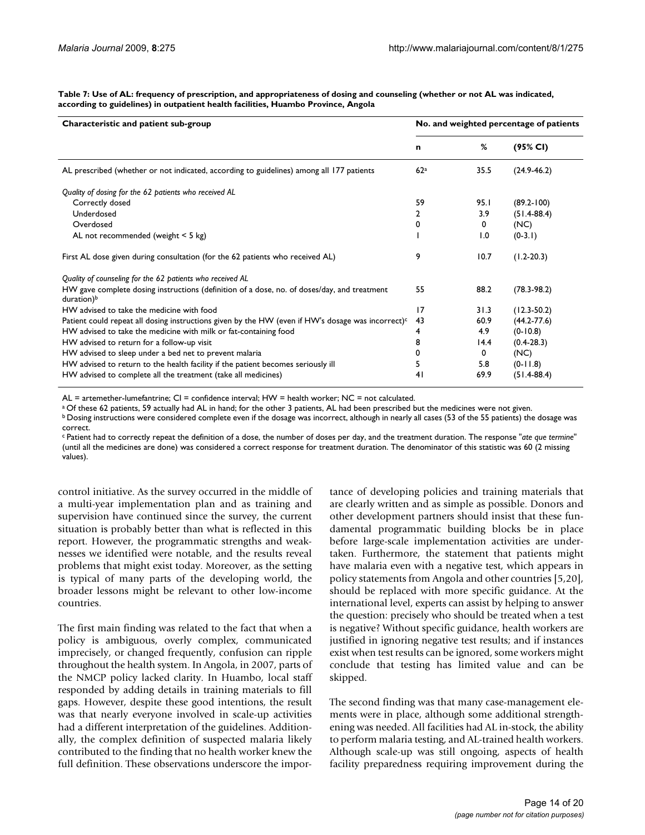| Characteristic and patient sub-group                                                                                  |                 | No. and weighted percentage of patients |                       |  |  |
|-----------------------------------------------------------------------------------------------------------------------|-----------------|-----------------------------------------|-----------------------|--|--|
|                                                                                                                       | n               | %                                       | $(95\% \, \text{Cl})$ |  |  |
| AL prescribed (whether or not indicated, according to guidelines) among all 177 patients                              | 62 <sup>a</sup> | 35.5                                    | $(24.9 - 46.2)$       |  |  |
| Quality of dosing for the 62 patients who received AL                                                                 |                 |                                         |                       |  |  |
| Correctly dosed                                                                                                       | 59              | 95.1                                    | $(89.2 - 100)$        |  |  |
| Underdosed                                                                                                            | 2               | 3.9                                     | $(51.4 - 88.4)$       |  |  |
| Overdosed                                                                                                             | 0               | 0                                       | (NC)                  |  |  |
| AL not recommended (weight $\leq$ 5 kg)                                                                               |                 | 1.0                                     | $(0-3.1)$             |  |  |
| First AL dose given during consultation (for the 62 patients who received AL)                                         | 9               | 10.7                                    | $(1.2 - 20.3)$        |  |  |
| Quality of counseling for the 62 patients who received AL                                                             |                 |                                         |                       |  |  |
| HW gave complete dosing instructions (definition of a dose, no. of doses/day, and treatment<br>duration) <sup>b</sup> | 55              | 88.2                                    | $(78.3 - 98.2)$       |  |  |
| HW advised to take the medicine with food                                                                             | 17              | 31.3                                    | $(12.3 - 50.2)$       |  |  |
| Patient could repeat all dosing instructions given by the HW (even if HW's dosage was incorrect) $\epsilon$           | 43              | 60.9                                    | $(44.2 - 77.6)$       |  |  |
| HW advised to take the medicine with milk or fat-containing food                                                      | 4               | 4.9                                     | $(0-10.8)$            |  |  |
| HW advised to return for a follow-up visit                                                                            | 8               | 14.4                                    | $(0.4-28.3)$          |  |  |
| HW advised to sleep under a bed net to prevent malaria                                                                | 0               | 0                                       | (NC)                  |  |  |
| HW advised to return to the health facility if the patient becomes seriously ill                                      |                 | 5.8                                     | (0.11.8)              |  |  |
| HW advised to complete all the treatment (take all medicines)                                                         | 41              | 69.9                                    | $(51.4-88.4)$         |  |  |

**Table 7: Use of AL: frequency of prescription, and appropriateness of dosing and counseling (whether or not AL was indicated, according to guidelines) in outpatient health facilities, Huambo Province, Angola**

AL = artemether-lumefantrine; CI = confidence interval; HW = health worker; NC = not calculated.

a Of these 62 patients, 59 actually had AL in hand; for the other 3 patients, AL had been prescribed but the medicines were not given.

b Dosing instructions were considered complete even if the dosage was incorrect, although in nearly all cases (53 of the 55 patients) the dosage was correct.

c Patient had to correctly repeat the definition of a dose, the number of doses per day, and the treatment duration. The response "*ate que termine*" (until all the medicines are done) was considered a correct response for treatment duration. The denominator of this statistic was 60 (2 missing values).

control initiative. As the survey occurred in the middle of a multi-year implementation plan and as training and supervision have continued since the survey, the current situation is probably better than what is reflected in this report. However, the programmatic strengths and weaknesses we identified were notable, and the results reveal problems that might exist today. Moreover, as the setting is typical of many parts of the developing world, the broader lessons might be relevant to other low-income countries.

The first main finding was related to the fact that when a policy is ambiguous, overly complex, communicated imprecisely, or changed frequently, confusion can ripple throughout the health system. In Angola, in 2007, parts of the NMCP policy lacked clarity. In Huambo, local staff responded by adding details in training materials to fill gaps. However, despite these good intentions, the result was that nearly everyone involved in scale-up activities had a different interpretation of the guidelines. Additionally, the complex definition of suspected malaria likely contributed to the finding that no health worker knew the full definition. These observations underscore the importance of developing policies and training materials that are clearly written and as simple as possible. Donors and other development partners should insist that these fundamental programmatic building blocks be in place before large-scale implementation activities are undertaken. Furthermore, the statement that patients might have malaria even with a negative test, which appears in policy statements from Angola and other countries [5,20], should be replaced with more specific guidance. At the international level, experts can assist by helping to answer the question: precisely who should be treated when a test is negative? Without specific guidance, health workers are justified in ignoring negative test results; and if instances exist when test results can be ignored, some workers might conclude that testing has limited value and can be skipped.

The second finding was that many case-management elements were in place, although some additional strengthening was needed. All facilities had AL in-stock, the ability to perform malaria testing, and AL-trained health workers. Although scale-up was still ongoing, aspects of health facility preparedness requiring improvement during the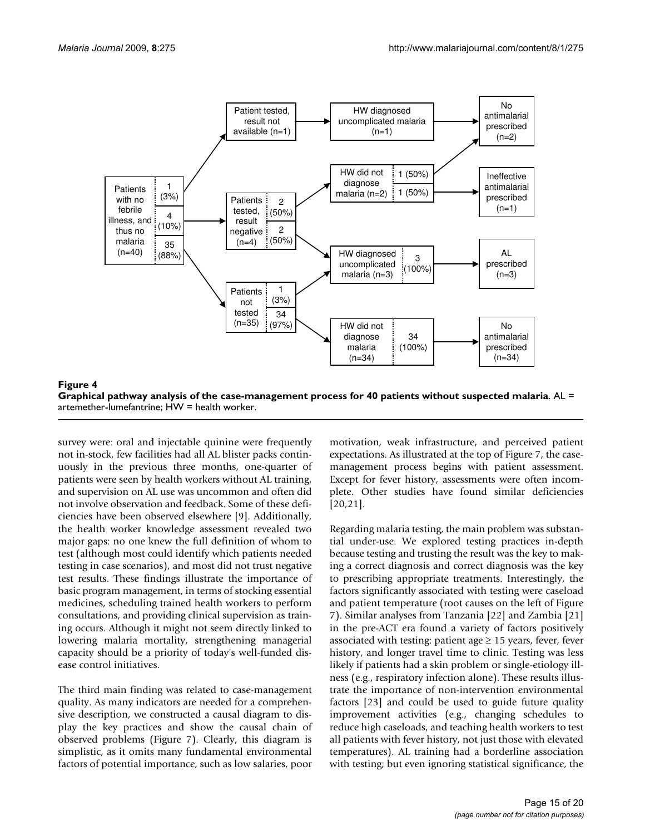

**Graphical pathway analysis of the case-management process for 40 patients without suspected malaria**. AL = artemether-lumefantrine; HW = health worker.

survey were: oral and injectable quinine were frequently not in-stock, few facilities had all AL blister packs continuously in the previous three months, one-quarter of patients were seen by health workers without AL training, and supervision on AL use was uncommon and often did not involve observation and feedback. Some of these deficiencies have been observed elsewhere [9]. Additionally, the health worker knowledge assessment revealed two major gaps: no one knew the full definition of whom to test (although most could identify which patients needed testing in case scenarios), and most did not trust negative test results. These findings illustrate the importance of basic program management, in terms of stocking essential medicines, scheduling trained health workers to perform consultations, and providing clinical supervision as training occurs. Although it might not seem directly linked to lowering malaria mortality, strengthening managerial capacity should be a priority of today's well-funded disease control initiatives.

The third main finding was related to case-management quality. As many indicators are needed for a comprehensive description, we constructed a causal diagram to display the key practices and show the causal chain of observed problems (Figure 7). Clearly, this diagram is simplistic, as it omits many fundamental environmental factors of potential importance, such as low salaries, poor motivation, weak infrastructure, and perceived patient expectations. As illustrated at the top of Figure 7, the casemanagement process begins with patient assessment. Except for fever history, assessments were often incomplete. Other studies have found similar deficiencies [20,21].

Regarding malaria testing, the main problem was substantial under-use. We explored testing practices in-depth because testing and trusting the result was the key to making a correct diagnosis and correct diagnosis was the key to prescribing appropriate treatments. Interestingly, the factors significantly associated with testing were caseload and patient temperature (root causes on the left of Figure 7). Similar analyses from Tanzania [22] and Zambia [21] in the pre-ACT era found a variety of factors positively associated with testing: patient age  $\geq$  15 years, fever, fever history, and longer travel time to clinic. Testing was less likely if patients had a skin problem or single-etiology illness (e.g., respiratory infection alone). These results illustrate the importance of non-intervention environmental factors [23] and could be used to guide future quality improvement activities (e.g., changing schedules to reduce high caseloads, and teaching health workers to test all patients with fever history, not just those with elevated temperatures). AL training had a borderline association with testing; but even ignoring statistical significance, the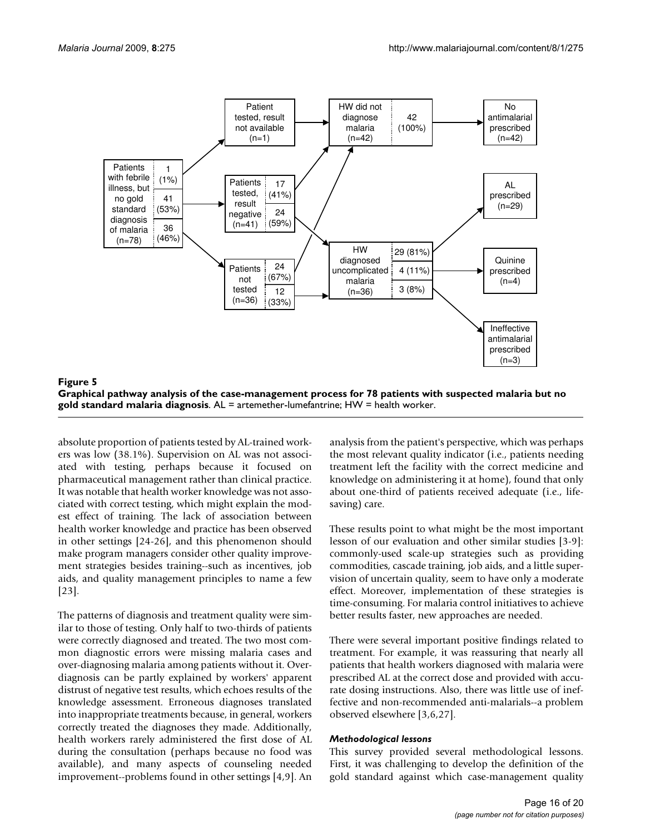

**Graphical pathway analysis of the case-management process for 78 patients with suspected malaria but no gold standard malaria diagnosis**. AL = artemether-lumefantrine; HW = health worker.

absolute proportion of patients tested by AL-trained workers was low (38.1%). Supervision on AL was not associated with testing, perhaps because it focused on pharmaceutical management rather than clinical practice. It was notable that health worker knowledge was not associated with correct testing, which might explain the modest effect of training. The lack of association between health worker knowledge and practice has been observed in other settings [24-26], and this phenomenon should make program managers consider other quality improvement strategies besides training--such as incentives, job aids, and quality management principles to name a few [23].

The patterns of diagnosis and treatment quality were similar to those of testing. Only half to two-thirds of patients were correctly diagnosed and treated. The two most common diagnostic errors were missing malaria cases and over-diagnosing malaria among patients without it. Overdiagnosis can be partly explained by workers' apparent distrust of negative test results, which echoes results of the knowledge assessment. Erroneous diagnoses translated into inappropriate treatments because, in general, workers correctly treated the diagnoses they made. Additionally, health workers rarely administered the first dose of AL during the consultation (perhaps because no food was available), and many aspects of counseling needed improvement--problems found in other settings [4,9]. An

analysis from the patient's perspective, which was perhaps the most relevant quality indicator (i.e., patients needing treatment left the facility with the correct medicine and knowledge on administering it at home), found that only about one-third of patients received adequate (i.e., lifesaving) care.

These results point to what might be the most important lesson of our evaluation and other similar studies [3-9]: commonly-used scale-up strategies such as providing commodities, cascade training, job aids, and a little supervision of uncertain quality, seem to have only a moderate effect. Moreover, implementation of these strategies is time-consuming. For malaria control initiatives to achieve better results faster, new approaches are needed.

There were several important positive findings related to treatment. For example, it was reassuring that nearly all patients that health workers diagnosed with malaria were prescribed AL at the correct dose and provided with accurate dosing instructions. Also, there was little use of ineffective and non-recommended anti-malarials--a problem observed elsewhere [3,6,27].

#### *Methodological lessons*

This survey provided several methodological lessons. First, it was challenging to develop the definition of the gold standard against which case-management quality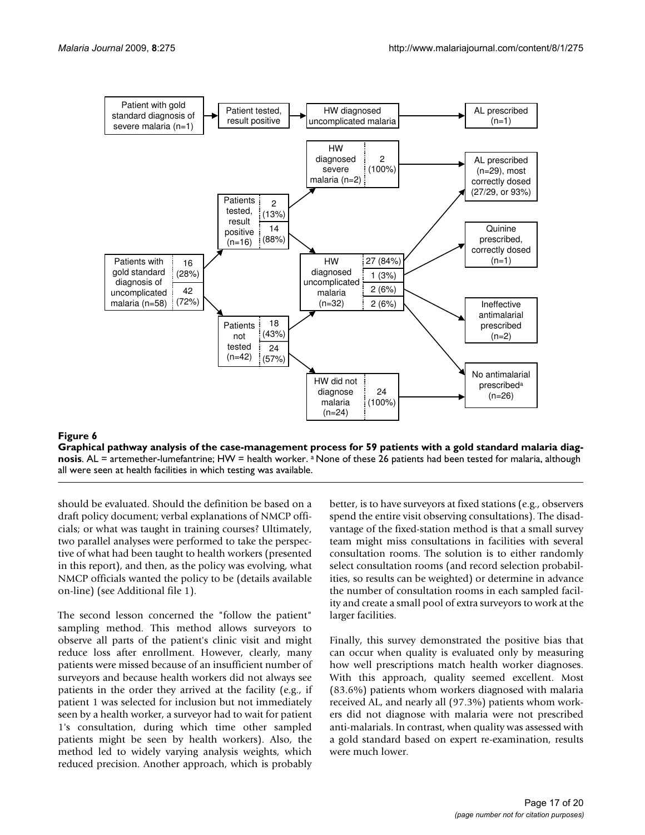

#### **Figure 6** Graphical pathway analysis of the case-management process for 59 patients with a gold standard malaria diagnosis

**Graphical pathway analysis of the case-management process for 59 patients with a gold standard malaria diagnosis**. AL = artemether-lumefantrine; HW = health worker. a None of these 26 patients had been tested for malaria, although all were seen at health facilities in which testing was available.

should be evaluated. Should the definition be based on a draft policy document; verbal explanations of NMCP officials; or what was taught in training courses? Ultimately, two parallel analyses were performed to take the perspective of what had been taught to health workers (presented in this report), and then, as the policy was evolving, what NMCP officials wanted the policy to be (details available on-line) (see Additional file 1).

The second lesson concerned the "follow the patient" sampling method. This method allows surveyors to observe all parts of the patient's clinic visit and might reduce loss after enrollment. However, clearly, many patients were missed because of an insufficient number of surveyors and because health workers did not always see patients in the order they arrived at the facility (e.g., if patient 1 was selected for inclusion but not immediately seen by a health worker, a surveyor had to wait for patient 1's consultation, during which time other sampled patients might be seen by health workers). Also, the method led to widely varying analysis weights, which reduced precision. Another approach, which is probably

better, is to have surveyors at fixed stations (e.g., observers spend the entire visit observing consultations). The disadvantage of the fixed-station method is that a small survey team might miss consultations in facilities with several consultation rooms. The solution is to either randomly select consultation rooms (and record selection probabilities, so results can be weighted) or determine in advance the number of consultation rooms in each sampled facility and create a small pool of extra surveyors to work at the larger facilities.

Finally, this survey demonstrated the positive bias that can occur when quality is evaluated only by measuring how well prescriptions match health worker diagnoses. With this approach, quality seemed excellent. Most (83.6%) patients whom workers diagnosed with malaria received AL, and nearly all (97.3%) patients whom workers did not diagnose with malaria were not prescribed anti-malarials. In contrast, when quality was assessed with a gold standard based on expert re-examination, results were much lower.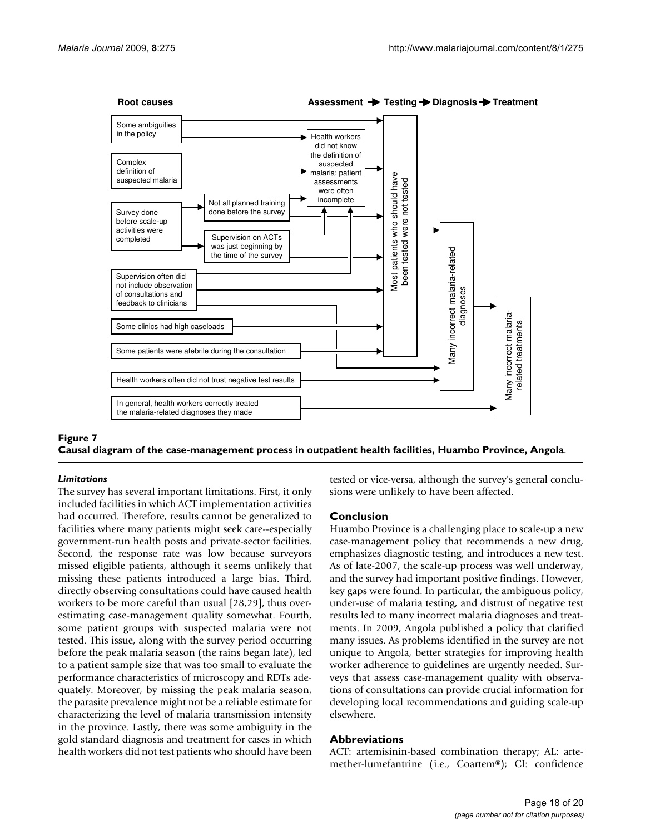

Root causes **Assessment > Treatment > Treatment > Treatment > Diagnosis > Treatment** 

#### **Figure 7** Causal diagram of the case-management process in outpatient health facilities, Huambo Province, Angola

**Causal diagram of the case-management process in outpatient health facilities, Huambo Province, Angola**.

#### *Limitations*

The survey has several important limitations. First, it only included facilities in which ACT implementation activities had occurred. Therefore, results cannot be generalized to facilities where many patients might seek care--especially government-run health posts and private-sector facilities. Second, the response rate was low because surveyors missed eligible patients, although it seems unlikely that missing these patients introduced a large bias. Third, directly observing consultations could have caused health workers to be more careful than usual [28,29], thus overestimating case-management quality somewhat. Fourth, some patient groups with suspected malaria were not tested. This issue, along with the survey period occurring before the peak malaria season (the rains began late), led to a patient sample size that was too small to evaluate the performance characteristics of microscopy and RDTs adequately. Moreover, by missing the peak malaria season, the parasite prevalence might not be a reliable estimate for characterizing the level of malaria transmission intensity in the province. Lastly, there was some ambiguity in the gold standard diagnosis and treatment for cases in which health workers did not test patients who should have been tested or vice-versa, although the survey's general conclusions were unlikely to have been affected.

#### **Conclusion**

Huambo Province is a challenging place to scale-up a new case-management policy that recommends a new drug, emphasizes diagnostic testing, and introduces a new test. As of late-2007, the scale-up process was well underway, and the survey had important positive findings. However, key gaps were found. In particular, the ambiguous policy, under-use of malaria testing, and distrust of negative test results led to many incorrect malaria diagnoses and treatments. In 2009, Angola published a policy that clarified many issues. As problems identified in the survey are not unique to Angola, better strategies for improving health worker adherence to guidelines are urgently needed. Surveys that assess case-management quality with observations of consultations can provide crucial information for developing local recommendations and guiding scale-up elsewhere.

#### **Abbreviations**

ACT: artemisinin-based combination therapy; AL: artemether-lumefantrine (i.e., Coartem®); CI: confidence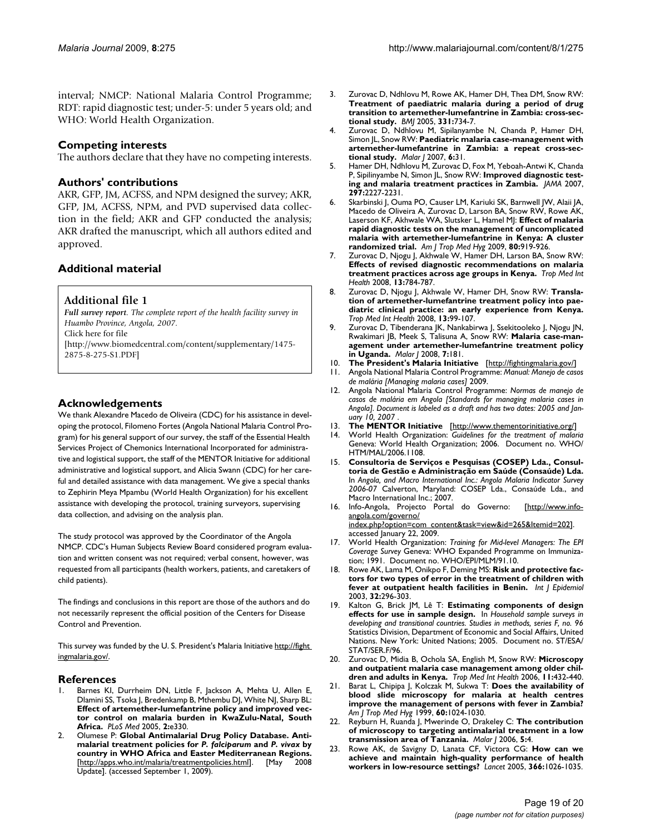interval; NMCP: National Malaria Control Programme; RDT: rapid diagnostic test; under-5: under 5 years old; and WHO: World Health Organization.

#### **Competing interests**

The authors declare that they have no competing interests.

#### **Authors' contributions**

AKR, GFP, JM, ACFSS, and NPM designed the survey; AKR, GFP, JM, ACFSS, NPM, and PVD supervised data collection in the field; AKR and GFP conducted the analysis; AKR drafted the manuscript, which all authors edited and approved.

#### **Additional material**

#### **Additional file 1**

*Full survey report. The complete report of the health facility survey in Huambo Province, Angola, 2007.* Click here for file [\[http://www.biomedcentral.com/content/supplementary/1475-](http://www.biomedcentral.com/content/supplementary/1475-2875-8-275-S1.PDF) 2875-8-275-S1.PDF]

#### **Acknowledgements**

We thank Alexandre Macedo de Oliveira (CDC) for his assistance in developing the protocol, Filomeno Fortes (Angola National Malaria Control Program) for his general support of our survey, the staff of the Essential Health Services Project of Chemonics International Incorporated for administrative and logistical support, the staff of the MENTOR Initiative for additional administrative and logistical support, and Alicia Swann (CDC) for her careful and detailed assistance with data management. We give a special thanks to Zephirin Meya Mpambu (World Health Organization) for his excellent assistance with developing the protocol, training surveyors, supervising data collection, and advising on the analysis plan.

The study protocol was approved by the Coordinator of the Angola NMCP. CDC's Human Subjects Review Board considered program evaluation and written consent was not required; verbal consent, however, was requested from all participants (health workers, patients, and caretakers of child patients).

The findings and conclusions in this report are those of the authors and do not necessarily represent the official position of the Centers for Disease Control and Prevention.

This survey was funded by the U. S. President's Malaria Initiative http://fight [ingmalaria.gov/.](http://fightingmalaria.gov/)

#### **References**

- Barnes KI, Durrheim DN, Little F, Jackson A, Mehta U, Allen E, Dlamini SS, Tsoka J, Bredenkamp B, Mthembu DJ, White NJ, Sharp BL: **[Effect of artemether-lumefantrine policy and improved vec](http://www.ncbi.nlm.nih.gov/entrez/query.fcgi?cmd=Retrieve&db=PubMed&dopt=Abstract&list_uids=16187798)tor control on malaria burden in KwaZulu-Natal, South [Africa.](http://www.ncbi.nlm.nih.gov/entrez/query.fcgi?cmd=Retrieve&db=PubMed&dopt=Abstract&list_uids=16187798)** *PLoS Med* 2005, **2:**e330.
- 2. Olumese P: **Global Antimalarial Drug Policy Database. Antimalarial treatment policies for** *P. falciparum* **and** *P. vivax* **by country in WHO Africa and Easter Mediterranean Regions.** [<http://apps.who.int/malaria/treatmentpolicies.html>]. Update]. (accessed September 1, 2009).
- 3. Zurovac D, Ndhlovu M, Rowe AK, Hamer DH, Thea DM, Snow RW: **[Treatment of paediatric malaria during a period of drug](http://www.ncbi.nlm.nih.gov/entrez/query.fcgi?cmd=Retrieve&db=PubMed&dopt=Abstract&list_uids=16195289) transition to artemether-lumefantrine in Zambia: cross-sec[tional study.](http://www.ncbi.nlm.nih.gov/entrez/query.fcgi?cmd=Retrieve&db=PubMed&dopt=Abstract&list_uids=16195289)** *BMJ* 2005, **331:**734-7.
- 4. Zurovac D, Ndhlovu M, Sipilanyambe N, Chanda P, Hamer DH, Simon JL, Snow RW: **[Paediatric malaria case-management with](http://www.ncbi.nlm.nih.gov/entrez/query.fcgi?cmd=Retrieve&db=PubMed&dopt=Abstract&list_uids=17367518) [artemether-lumefantrine in Zambia: a repeat cross-sec](http://www.ncbi.nlm.nih.gov/entrez/query.fcgi?cmd=Retrieve&db=PubMed&dopt=Abstract&list_uids=17367518)[tional study.](http://www.ncbi.nlm.nih.gov/entrez/query.fcgi?cmd=Retrieve&db=PubMed&dopt=Abstract&list_uids=17367518)** *Malar J* 2007, **6:**31.
- 5. Hamer DH, Ndhlovu M, Zurovac D, Fox M, Yeboah-Antwi K, Chanda P, Sipilinyambe N, Simon JL, Snow RW: **[Improved diagnostic test](http://www.ncbi.nlm.nih.gov/entrez/query.fcgi?cmd=Retrieve&db=PubMed&dopt=Abstract&list_uids=17519412)[ing and malaria treatment practices in Zambia.](http://www.ncbi.nlm.nih.gov/entrez/query.fcgi?cmd=Retrieve&db=PubMed&dopt=Abstract&list_uids=17519412)** *JAMA* 2007, **297:**2227-2231.
- 6. Skarbinski J, Ouma PO, Causer LM, Kariuki SK, Barnwell JW, Alaii JA, Macedo de Oliveira A, Zurovac D, Larson BA, Snow RW, Rowe AK, Laserson KF, Akhwale WA, Slutsker L, Hamel MJ: **[Effect of malaria](http://www.ncbi.nlm.nih.gov/entrez/query.fcgi?cmd=Retrieve&db=PubMed&dopt=Abstract&list_uids=19478249) [rapid diagnostic tests on the management of uncomplicated](http://www.ncbi.nlm.nih.gov/entrez/query.fcgi?cmd=Retrieve&db=PubMed&dopt=Abstract&list_uids=19478249) malaria with artemether-lumefantrine in Kenya: A cluster [randomized trial.](http://www.ncbi.nlm.nih.gov/entrez/query.fcgi?cmd=Retrieve&db=PubMed&dopt=Abstract&list_uids=19478249)** *Am J Trop Med Hyg* 2009, **80:**919-926.
- 7. Zurovac D, Njogu J, Akhwale W, Hamer DH, Larson BA, Snow RW: **[Effects of revised diagnostic recommendations on malaria](http://www.ncbi.nlm.nih.gov/entrez/query.fcgi?cmd=Retrieve&db=PubMed&dopt=Abstract&list_uids=18482078) [treatment practices across age groups in Kenya.](http://www.ncbi.nlm.nih.gov/entrez/query.fcgi?cmd=Retrieve&db=PubMed&dopt=Abstract&list_uids=18482078)** *Trop Med Int Health* 2008, **13:**784-787.
- 8. Zurovac D, Njogu J, Akhwale W, Hamer DH, Snow RW: **[Transla](http://www.ncbi.nlm.nih.gov/entrez/query.fcgi?cmd=Retrieve&db=PubMed&dopt=Abstract&list_uids=18291008)[tion of artemether-lumefantrine treatment policy into pae](http://www.ncbi.nlm.nih.gov/entrez/query.fcgi?cmd=Retrieve&db=PubMed&dopt=Abstract&list_uids=18291008)diatric clinical practice: an early experience from Kenya.** *Trop Med Int Health* 2008, **13:**99-107.
- 9. Zurovac D, Tibenderana JK, Nankabirwa J, Ssekitooleko J, Njogu JN, Rwakimari JB, Meek S, Talisuna A, Snow RW: **[Malaria case-man](http://www.ncbi.nlm.nih.gov/entrez/query.fcgi?cmd=Retrieve&db=PubMed&dopt=Abstract&list_uids=18803833)[agement under artemether-lumefantrine treatment policy](http://www.ncbi.nlm.nih.gov/entrez/query.fcgi?cmd=Retrieve&db=PubMed&dopt=Abstract&list_uids=18803833) [in Uganda.](http://www.ncbi.nlm.nih.gov/entrez/query.fcgi?cmd=Retrieve&db=PubMed&dopt=Abstract&list_uids=18803833)** *Malar J* 2008, **7:**181.
- 10. **The President's Malaria Initiative** [[http://fightingmalaria.gov/\]](http://fightingmalaria.gov/)
- 11. Angola National Malaria Control Programme: *Manual: Manejo de casos de malária [Managing malaria cases]* 2009.
- 12. Angola National Malaria Control Programme: *Normas de manejo de casos de malária em Angola [Standards for managing malaria cases in Angola]. Document is labeled as a draft and has two dates: 2005 and January 10, 2007* .
- 13. **The MENTOR Initiative** [<http://www.thementorinitiative.org/>]
- 14. World Health Organization: *Guidelines for the treatment of malaria* Geneva: World Health Organization; 2006. Document no. WHO/ HTM/MAL/2006.1108.
- 15. **Consultoria de Serviços e Pesquisas (COSEP) Lda., Consultoria de Gestão e Administração em Saúde (Consaúde) Lda.** In *Angola, and Macro International Inc.: Angola Malaria Indicator Survey 2006-07* Calverton, Maryland: COSEP Lda., Consaúde Lda., and Macro International Inc.; 2007.
- 16. Info-Angola, Projecto Portal do Governo: [[http://www.info](http://www.info-angola.com/governo/index.php?option=com_content&task=view&id=265&Itemid=202)[angola.com/governo/](http://www.info-angola.com/governo/index.php?option=com_content&task=view&id=265&Itemid=202) [index.php?option=com\\_content&task=view&id=265&Itemid=202](http://www.info-angola.com/governo/index.php?option=com_content&task=view&id=265&Itemid=202)]. accessed January 22, 2009.
- 17. World Health Organization: *Training for Mid-level Managers: The EPI Coverage Survey* Geneva: WHO Expanded Programme on Immunization; 1991. Document no. WHO/EPI/MLM/91.10.
- 18. Rowe AK, Lama M, Onikpo F, Deming MS: **[Risk and protective fac](http://www.ncbi.nlm.nih.gov/entrez/query.fcgi?cmd=Retrieve&db=PubMed&dopt=Abstract&list_uids=12714553)[tors for two types of error in the treatment of children with](http://www.ncbi.nlm.nih.gov/entrez/query.fcgi?cmd=Retrieve&db=PubMed&dopt=Abstract&list_uids=12714553) [fever at outpatient health facilities in Benin.](http://www.ncbi.nlm.nih.gov/entrez/query.fcgi?cmd=Retrieve&db=PubMed&dopt=Abstract&list_uids=12714553)** *Int J Epidemiol* 2003, **32:**296-303.
- 19. Kalton G, Brick JM, Lê T: **Estimating components of design effects for use in sample design.** In *Household sample surveys in developing and transitional countries. Studies in methods, series F, no. 96* Statistics Division, Department of Economic and Social Affairs, United Nations. New York: United Nations; 2005. Document no. ST/ESA/ STAT/SER.F/96.
- 20. Zurovac D, Midia B, Ochola SA, English M, Snow RW: **[Microscopy](http://www.ncbi.nlm.nih.gov/entrez/query.fcgi?cmd=Retrieve&db=PubMed&dopt=Abstract&list_uids=16553926) [and outpatient malaria case management among older chil](http://www.ncbi.nlm.nih.gov/entrez/query.fcgi?cmd=Retrieve&db=PubMed&dopt=Abstract&list_uids=16553926)[dren and adults in Kenya.](http://www.ncbi.nlm.nih.gov/entrez/query.fcgi?cmd=Retrieve&db=PubMed&dopt=Abstract&list_uids=16553926)** *Trop Med Int Health* 2006, **11:**432-440.
- 21. Barat L, Chipipa J, Kolczak M, Sukwa T: **[Does the availability of](http://www.ncbi.nlm.nih.gov/entrez/query.fcgi?cmd=Retrieve&db=PubMed&dopt=Abstract&list_uids=10403337) [blood slide microscopy for malaria at health centres](http://www.ncbi.nlm.nih.gov/entrez/query.fcgi?cmd=Retrieve&db=PubMed&dopt=Abstract&list_uids=10403337) improve the management of persons with fever in Zambia?** *Am J Trop Med Hyg* 1999, **60:**1024-1030.
- 22. Reyburn H, Ruanda J, Mwerinde O, Drakeley C: **[The contribution](http://www.ncbi.nlm.nih.gov/entrez/query.fcgi?cmd=Retrieve&db=PubMed&dopt=Abstract&list_uids=16423307) [of microscopy to targeting antimalarial treatment in a low](http://www.ncbi.nlm.nih.gov/entrez/query.fcgi?cmd=Retrieve&db=PubMed&dopt=Abstract&list_uids=16423307) [transmission area of Tanzania.](http://www.ncbi.nlm.nih.gov/entrez/query.fcgi?cmd=Retrieve&db=PubMed&dopt=Abstract&list_uids=16423307)** *Malar J* 2006, **5:**4.
- 23. Rowe AK, de Savigny D, Lanata CF, Victora CG: **[How can we](http://www.ncbi.nlm.nih.gov/entrez/query.fcgi?cmd=Retrieve&db=PubMed&dopt=Abstract&list_uids=16168785) [achieve and maintain high-quality performance of health](http://www.ncbi.nlm.nih.gov/entrez/query.fcgi?cmd=Retrieve&db=PubMed&dopt=Abstract&list_uids=16168785) [workers in low-resource settings?](http://www.ncbi.nlm.nih.gov/entrez/query.fcgi?cmd=Retrieve&db=PubMed&dopt=Abstract&list_uids=16168785)** *Lancet* 2005, **366:**1026-1035.